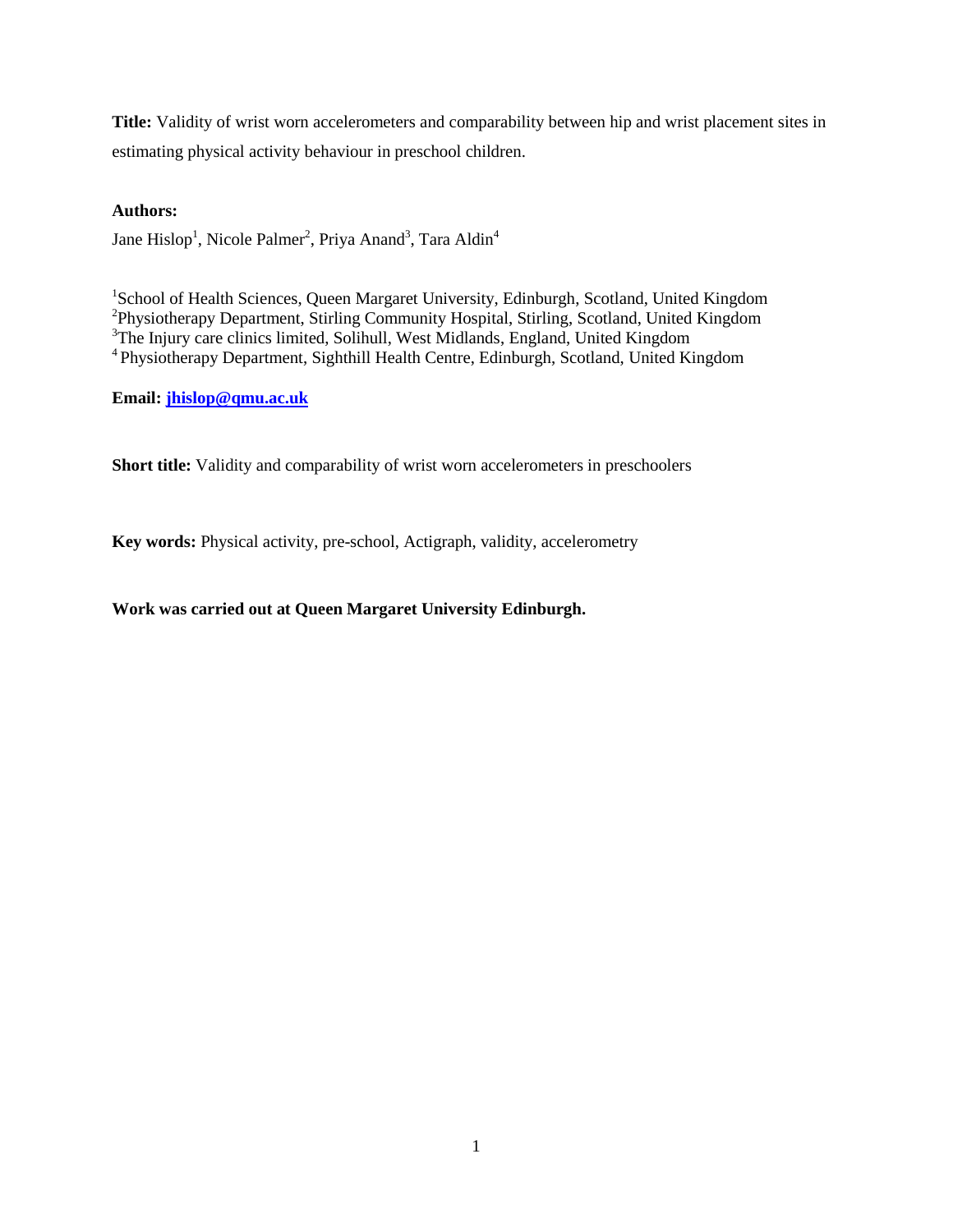**Title:** Validity of wrist worn accelerometers and comparability between hip and wrist placement sites in estimating physical activity behaviour in preschool children.

# **Authors:**

Jane Hislop<sup>1</sup>, Nicole Palmer<sup>2</sup>, Priya Anand<sup>3</sup>, Tara Aldin<sup>4</sup>

<sup>1</sup>School of Health Sciences, Queen Margaret University, Edinburgh, Scotland, United Kingdom <sup>2</sup>Physiotherapy Department, Stirling Community Hospital, Stirling, Scotland, United Kingdom <sup>3</sup>The Injury care clinics limited, Solihull, West Midlands, England, United Kingdom <sup>4</sup> Physiotherapy Department, Sighthill Health Centre, Edinburgh, Scotland, United Kingdom

**Email: [jhislop@qmu.ac.uk](mailto:jhislop@qmu.ac.uk)**

**Short title:** Validity and comparability of wrist worn accelerometers in preschoolers

**Key words:** Physical activity, pre-school, Actigraph, validity, accelerometry

# **Work was carried out at Queen Margaret University Edinburgh.**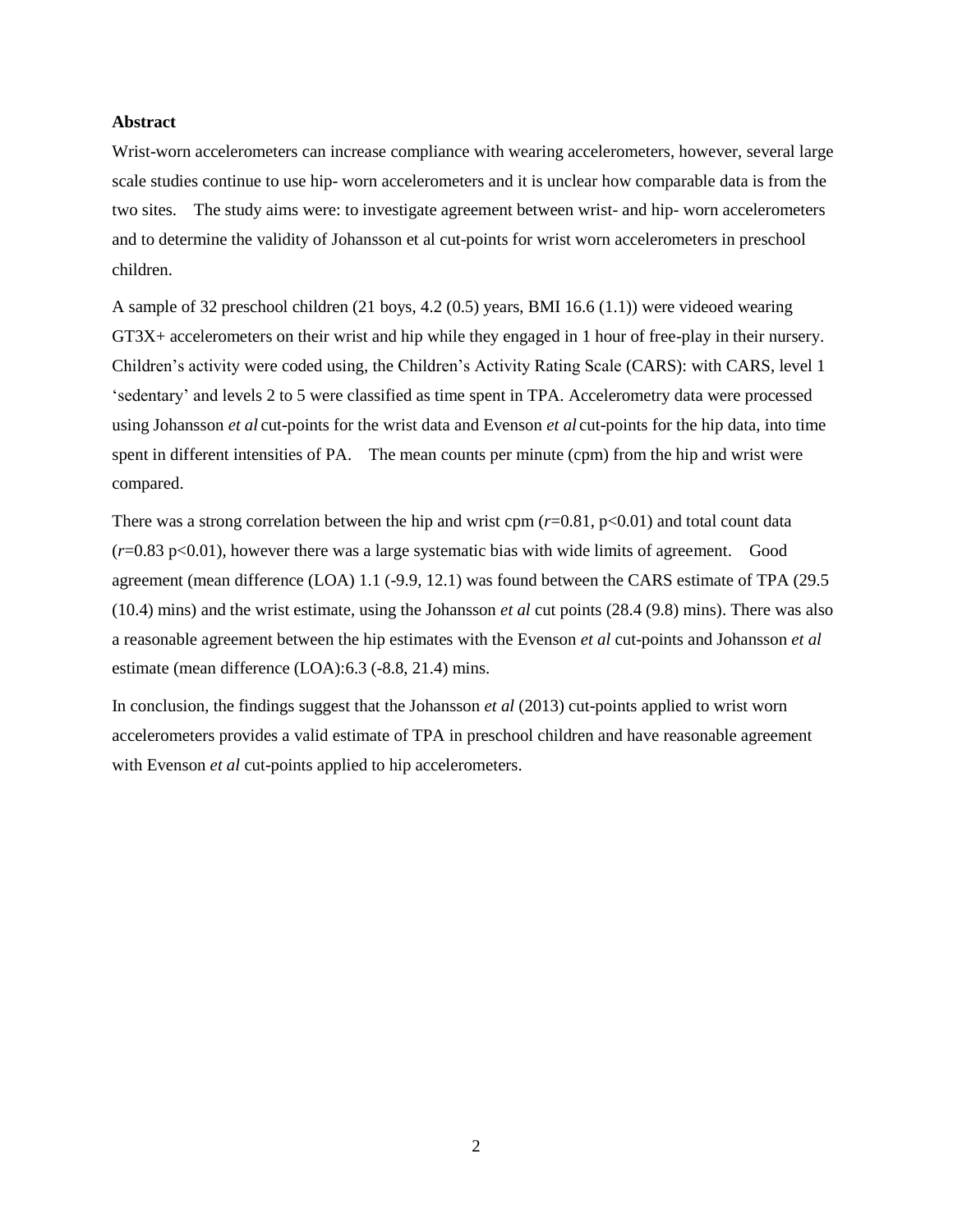### **Abstract**

Wrist-worn accelerometers can increase compliance with wearing accelerometers, however, several large scale studies continue to use hip- worn accelerometers and it is unclear how comparable data is from the two sites. The study aims were: to investigate agreement between wrist- and hip- worn accelerometers and to determine the validity of Johansson et al cut-points for wrist worn accelerometers in preschool children.

A sample of 32 preschool children (21 boys, 4.2 (0.5) years, BMI 16.6 (1.1)) were videoed wearing GT3X+ accelerometers on their wrist and hip while they engaged in 1 hour of free-play in their nursery. Children's activity were coded using, the Children's Activity Rating Scale (CARS): with CARS, level 1 'sedentary' and levels 2 to 5 were classified as time spent in TPA. Accelerometry data were processed using Johansson *et al* cut-points for the wrist data and Evenson *et al* cut-points for the hip data, into time spent in different intensities of PA. The mean counts per minute (cpm) from the hip and wrist were compared.

There was a strong correlation between the hip and wrist cpm  $(r=0.81, p<0.01)$  and total count data (*r*=0.83 p<0.01), however there was a large systematic bias with wide limits of agreement. Good agreement (mean difference (LOA) 1.1 (-9.9, 12.1) was found between the CARS estimate of TPA (29.5 (10.4) mins) and the wrist estimate, using the Johansson *et al* cut points (28.4 (9.8) mins). There was also a reasonable agreement between the hip estimates with the Evenson *et al* cut-points and Johansson *et al* estimate (mean difference (LOA):6.3 (-8.8, 21.4) mins.

In conclusion, the findings suggest that the Johansson *et al* (2013) cut-points applied to wrist worn accelerometers provides a valid estimate of TPA in preschool children and have reasonable agreement with Evenson *et al* cut-points applied to hip accelerometers.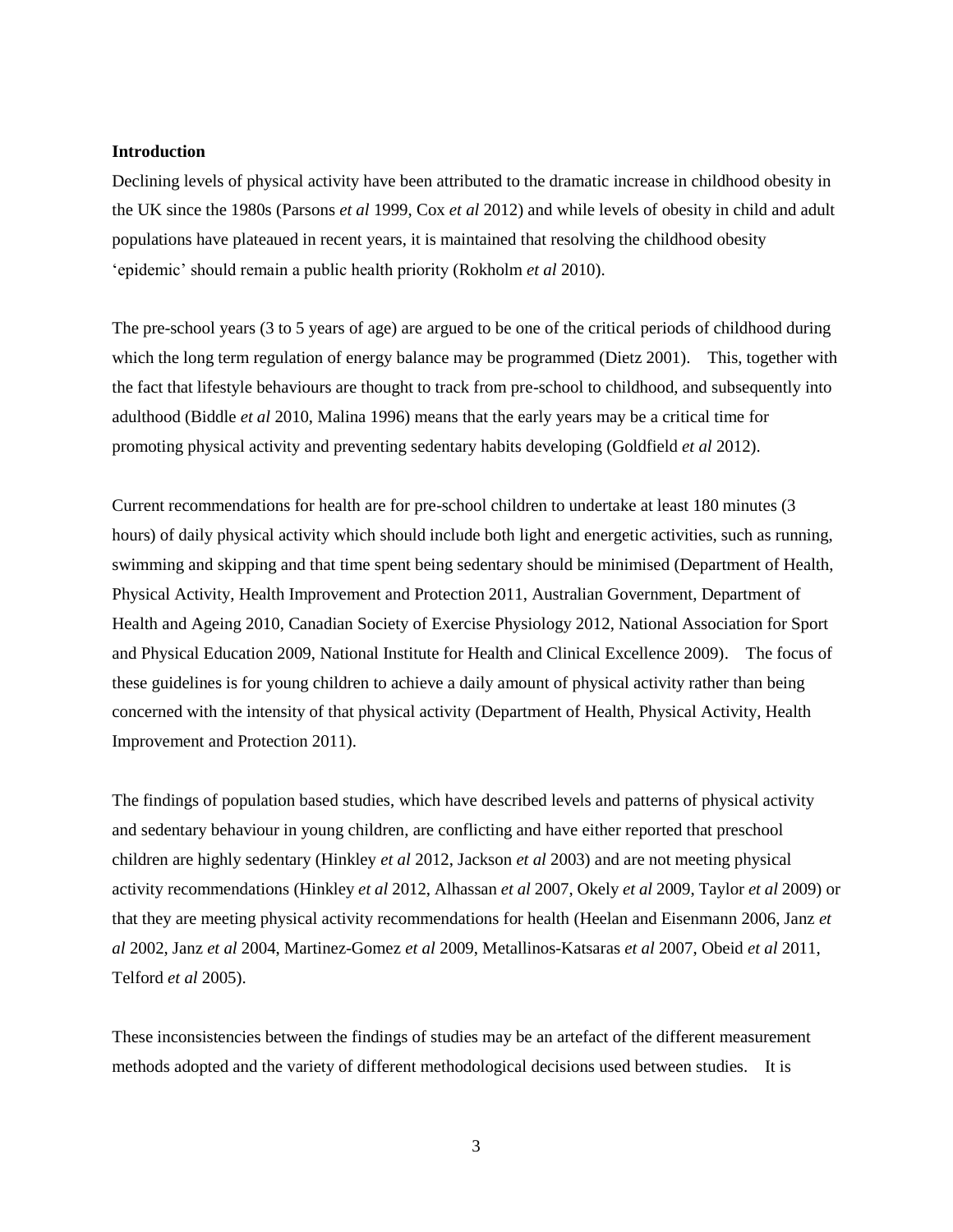### **Introduction**

Declining levels of physical activity have been attributed to the dramatic increase in childhood obesity in the UK since the 1980s (Parsons *et al* 1999, Cox *et al* 2012) and while levels of obesity in child and adult populations have plateaued in recent years, it is maintained that resolving the childhood obesity 'epidemic' should remain a public health priority (Rokholm *et al* 2010).

The pre-school years (3 to 5 years of age) are argued to be one of the critical periods of childhood during which the long term regulation of energy balance may be programmed (Dietz 2001). This, together with the fact that lifestyle behaviours are thought to track from pre-school to childhood, and subsequently into adulthood (Biddle *et al* 2010, Malina 1996) means that the early years may be a critical time for promoting physical activity and preventing sedentary habits developing (Goldfield *et al* 2012).

Current recommendations for health are for pre-school children to undertake at least 180 minutes (3 hours) of daily physical activity which should include both light and energetic activities, such as running, swimming and skipping and that time spent being sedentary should be minimised (Department of Health, Physical Activity, Health Improvement and Protection 2011, Australian Government, Department of Health and Ageing 2010, Canadian Society of Exercise Physiology 2012, National Association for Sport and Physical Education 2009, National Institute for Health and Clinical Excellence 2009). The focus of these guidelines is for young children to achieve a daily amount of physical activity rather than being concerned with the intensity of that physical activity (Department of Health, Physical Activity, Health Improvement and Protection 2011).

The findings of population based studies, which have described levels and patterns of physical activity and sedentary behaviour in young children, are conflicting and have either reported that preschool children are highly sedentary (Hinkley *et al* 2012, Jackson *et al* 2003) and are not meeting physical activity recommendations (Hinkley *et al* 2012, Alhassan *et al* 2007, Okely *et al* 2009, Taylor *et al* 2009) or that they are meeting physical activity recommendations for health (Heelan and Eisenmann 2006, Janz *et al* 2002, Janz *et al* 2004, Martinez-Gomez *et al* 2009, Metallinos-Katsaras *et al* 2007, Obeid *et al* 2011, Telford *et al* 2005).

These inconsistencies between the findings of studies may be an artefact of the different measurement methods adopted and the variety of different methodological decisions used between studies. It is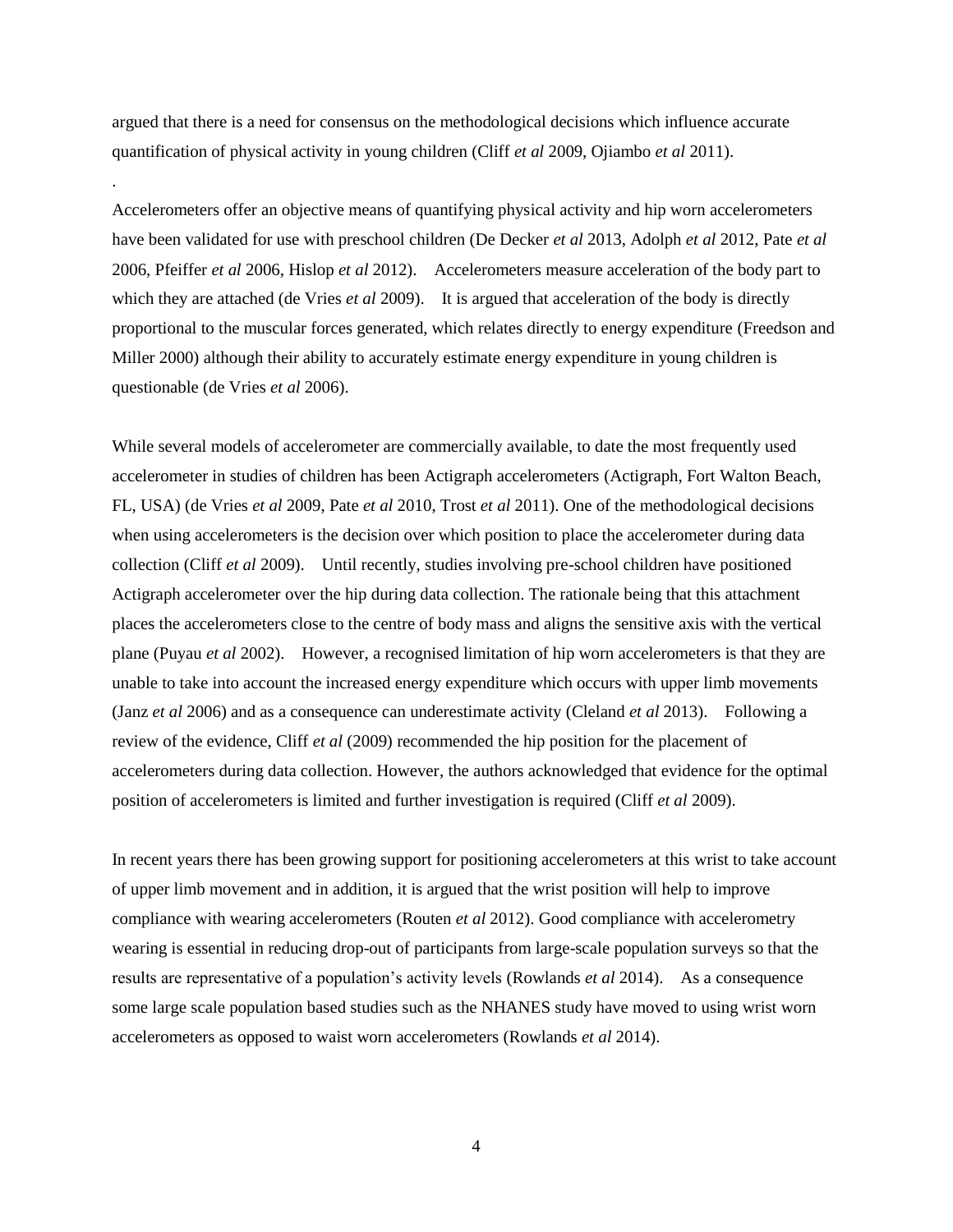argued that there is a need for consensus on the methodological decisions which influence accurate quantification of physical activity in young children (Cliff *et al* 2009, Ojiambo *et al* 2011).

.

Accelerometers offer an objective means of quantifying physical activity and hip worn accelerometers have been validated for use with preschool children (De Decker *et al* 2013, Adolph *et al* 2012, Pate *et al* 2006, Pfeiffer *et al* 2006, Hislop *et al* 2012). Accelerometers measure acceleration of the body part to which they are attached (de Vries *et al* 2009). It is argued that acceleration of the body is directly proportional to the muscular forces generated, which relates directly to energy expenditure (Freedson and Miller 2000) although their ability to accurately estimate energy expenditure in young children is questionable (de Vries *et al* 2006).

While several models of accelerometer are commercially available, to date the most frequently used accelerometer in studies of children has been Actigraph accelerometers (Actigraph, Fort Walton Beach, FL, USA) (de Vries *et al* 2009, Pate *et al* 2010, Trost *et al* 2011). One of the methodological decisions when using accelerometers is the decision over which position to place the accelerometer during data collection (Cliff *et al* 2009). Until recently, studies involving pre-school children have positioned Actigraph accelerometer over the hip during data collection. The rationale being that this attachment places the accelerometers close to the centre of body mass and aligns the sensitive axis with the vertical plane (Puyau *et al* 2002). However, a recognised limitation of hip worn accelerometers is that they are unable to take into account the increased energy expenditure which occurs with upper limb movements (Janz *et al* 2006) and as a consequence can underestimate activity (Cleland *et al* 2013). Following a review of the evidence, Cliff *et al* (2009) recommended the hip position for the placement of accelerometers during data collection. However, the authors acknowledged that evidence for the optimal position of accelerometers is limited and further investigation is required (Cliff *et al* 2009).

In recent years there has been growing support for positioning accelerometers at this wrist to take account of upper limb movement and in addition, it is argued that the wrist position will help to improve compliance with wearing accelerometers (Routen *et al* 2012). Good compliance with accelerometry wearing is essential in reducing drop-out of participants from large-scale population surveys so that the results are representative of a population's activity levels (Rowlands *et al* 2014). As a consequence some large scale population based studies such as the NHANES study have moved to using wrist worn accelerometers as opposed to waist worn accelerometers (Rowlands *et al* 2014).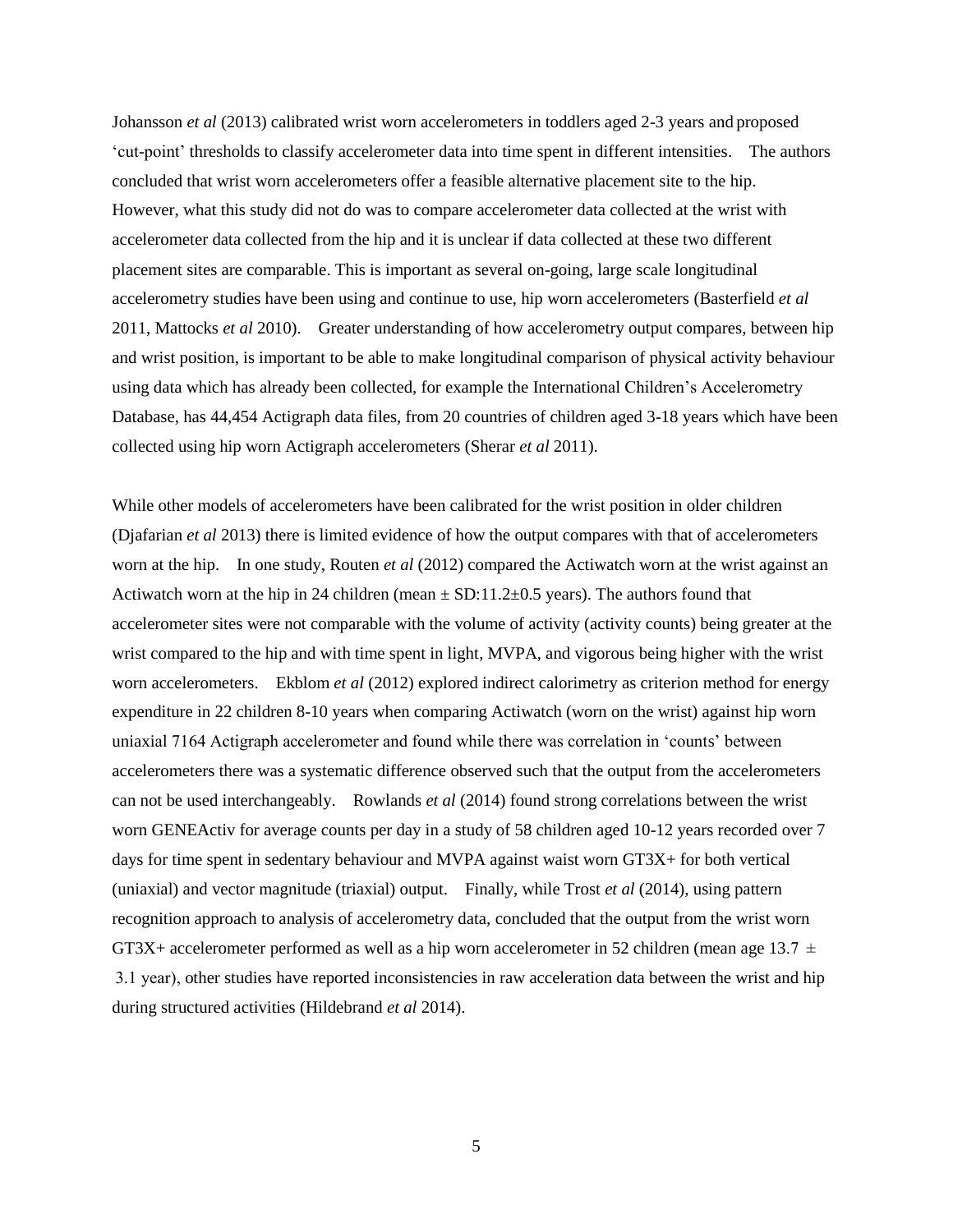Johansson *et al* (2013) calibrated wrist worn accelerometers in toddlers aged 2-3 years and proposed 'cut-point' thresholds to classify accelerometer data into time spent in different intensities. The authors concluded that wrist worn accelerometers offer a feasible alternative placement site to the hip. However, what this study did not do was to compare accelerometer data collected at the wrist with accelerometer data collected from the hip and it is unclear if data collected at these two different placement sites are comparable. This is important as several on-going, large scale longitudinal accelerometry studies have been using and continue to use, hip worn accelerometers (Basterfield *et al* 2011, Mattocks *et al* 2010). Greater understanding of how accelerometry output compares, between hip and wrist position, is important to be able to make longitudinal comparison of physical activity behaviour using data which has already been collected, for example the International Children's Accelerometry Database, has 44,454 Actigraph data files, from 20 countries of children aged 3-18 years which have been collected using hip worn Actigraph accelerometers (Sherar *et al* 2011).

While other models of accelerometers have been calibrated for the wrist position in older children (Djafarian *et al* 2013) there is limited evidence of how the output compares with that of accelerometers worn at the hip. In one study, Routen *et al* (2012) compared the Actiwatch worn at the wrist against an Actiwatch worn at the hip in 24 children (mean  $\pm$  SD:11.2 $\pm$ 0.5 years). The authors found that accelerometer sites were not comparable with the volume of activity (activity counts) being greater at the wrist compared to the hip and with time spent in light, MVPA, and vigorous being higher with the wrist worn accelerometers. Ekblom *et al* (2012) explored indirect calorimetry as criterion method for energy expenditure in 22 children 8-10 years when comparing Actiwatch (worn on the wrist) against hip worn uniaxial 7164 Actigraph accelerometer and found while there was correlation in 'counts' between accelerometers there was a systematic difference observed such that the output from the accelerometers can not be used interchangeably. Rowlands *et al* (2014) found strong correlations between the wrist worn GENEActiv for average counts per day in a study of 58 children aged 10-12 years recorded over 7 days for time spent in sedentary behaviour and MVPA against waist worn GT3X+ for both vertical (uniaxial) and vector magnitude (triaxial) output. Finally, while Trost *et al* (2014), using pattern recognition approach to analysis of accelerometry data, concluded that the output from the wrist worn GT3X+ accelerometer performed as well as a hip worn accelerometer in 52 children (mean age 13.7  $\pm$  3.1 year), other studies have reported inconsistencies in raw acceleration data between the wrist and hip during structured activities (Hildebrand *et al* 2014).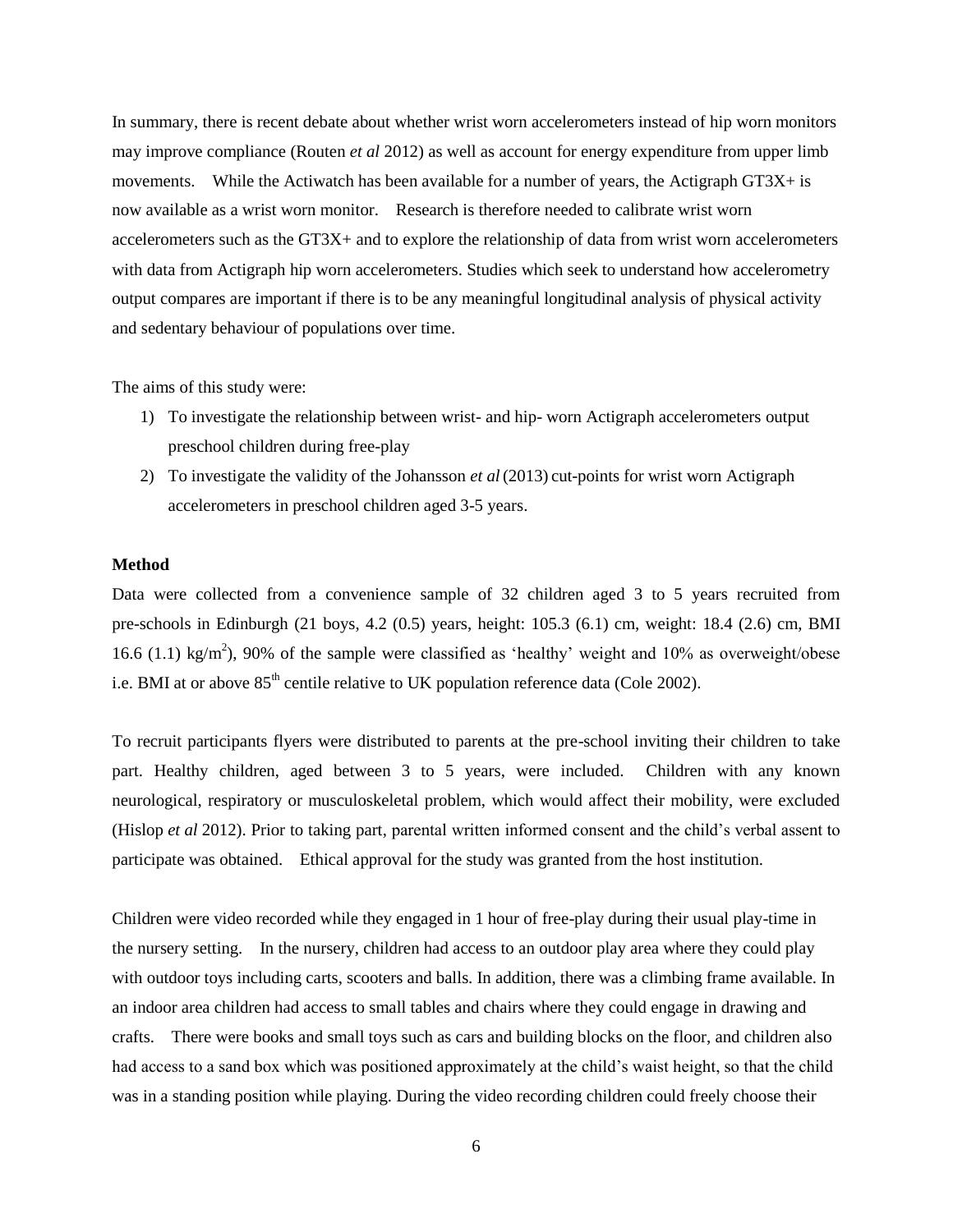In summary, there is recent debate about whether wrist worn accelerometers instead of hip worn monitors may improve compliance (Routen *et al* 2012) as well as account for energy expenditure from upper limb movements. While the Actiwatch has been available for a number of years, the Actigraph GT3X+ is now available as a wrist worn monitor. Research is therefore needed to calibrate wrist worn accelerometers such as the GT3X+ and to explore the relationship of data from wrist worn accelerometers with data from Actigraph hip worn accelerometers. Studies which seek to understand how accelerometry output compares are important if there is to be any meaningful longitudinal analysis of physical activity and sedentary behaviour of populations over time.

The aims of this study were:

- 1) To investigate the relationship between wrist- and hip- worn Actigraph accelerometers output preschool children during free-play
- 2) To investigate the validity of the Johansson *et al* (2013) cut-points for wrist worn Actigraph accelerometers in preschool children aged 3-5 years.

## **Method**

Data were collected from a convenience sample of 32 children aged 3 to 5 years recruited from pre-schools in Edinburgh (21 boys, 4.2 (0.5) years, height: 105.3 (6.1) cm, weight: 18.4 (2.6) cm, BMI 16.6 (1.1) kg/m<sup>2</sup>), 90% of the sample were classified as 'healthy' weight and 10% as overweight/obese i.e. BMI at or above  $85<sup>th</sup>$  centile relative to UK population reference data (Cole 2002).

To recruit participants flyers were distributed to parents at the pre-school inviting their children to take part. Healthy children, aged between 3 to 5 years, were included. Children with any known neurological, respiratory or musculoskeletal problem, which would affect their mobility, were excluded (Hislop *et al* 2012). Prior to taking part, parental written informed consent and the child's verbal assent to participate was obtained. Ethical approval for the study was granted from the host institution.

Children were video recorded while they engaged in 1 hour of free-play during their usual play-time in the nursery setting. In the nursery, children had access to an outdoor play area where they could play with outdoor toys including carts, scooters and balls. In addition, there was a climbing frame available. In an indoor area children had access to small tables and chairs where they could engage in drawing and crafts. There were books and small toys such as cars and building blocks on the floor, and children also had access to a sand box which was positioned approximately at the child's waist height, so that the child was in a standing position while playing. During the video recording children could freely choose their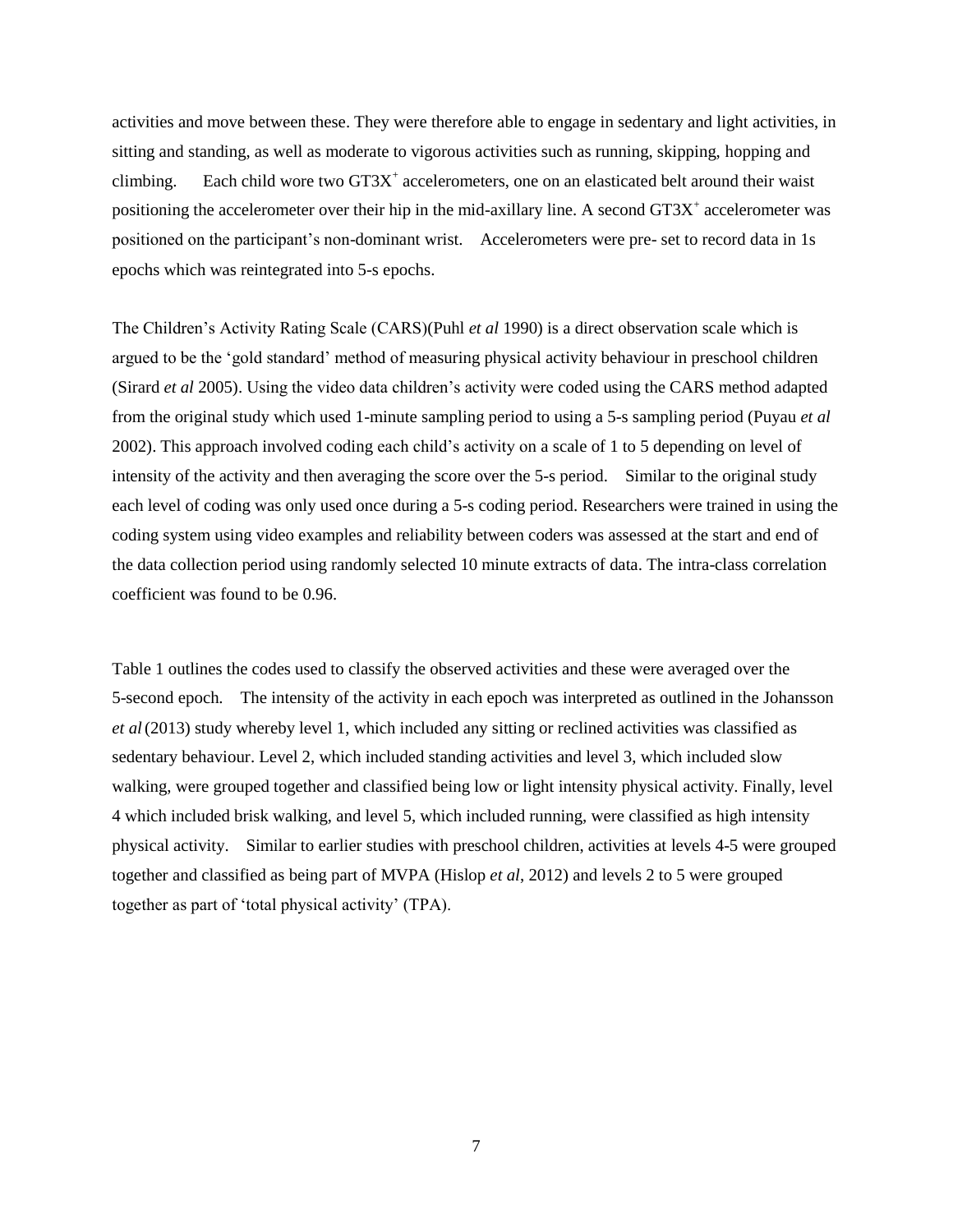activities and move between these. They were therefore able to engage in sedentary and light activities, in sitting and standing, as well as moderate to vigorous activities such as running, skipping, hopping and climbing. Each child wore two  $GT3X^+$  accelerometers, one on an elasticated belt around their waist positioning the accelerometer over their hip in the mid-axillary line. A second GT3X<sup>+</sup> accelerometer was positioned on the participant's non-dominant wrist. Accelerometers were pre- set to record data in 1s epochs which was reintegrated into 5-s epochs.

The Children's Activity Rating Scale (CARS)(Puhl *et al* 1990) is a direct observation scale which is argued to be the 'gold standard' method of measuring physical activity behaviour in preschool children (Sirard *et al* 2005). Using the video data children's activity were coded using the CARS method adapted from the original study which used 1-minute sampling period to using a 5-s sampling period (Puyau *et al* 2002). This approach involved coding each child's activity on a scale of 1 to 5 depending on level of intensity of the activity and then averaging the score over the 5-s period. Similar to the original study each level of coding was only used once during a 5-s coding period. Researchers were trained in using the coding system using video examples and reliability between coders was assessed at the start and end of the data collection period using randomly selected 10 minute extracts of data. The intra-class correlation coefficient was found to be 0.96.

Table 1 outlines the codes used to classify the observed activities and these were averaged over the 5-second epoch*.* The intensity of the activity in each epoch was interpreted as outlined in the Johansson *et al*(2013) study whereby level 1, which included any sitting or reclined activities was classified as sedentary behaviour. Level 2, which included standing activities and level 3, which included slow walking, were grouped together and classified being low or light intensity physical activity. Finally, level 4 which included brisk walking, and level 5, which included running, were classified as high intensity physical activity. Similar to earlier studies with preschool children, activities at levels 4-5 were grouped together and classified as being part of MVPA (Hislop *et al*, 2012) and levels 2 to 5 were grouped together as part of 'total physical activity' (TPA).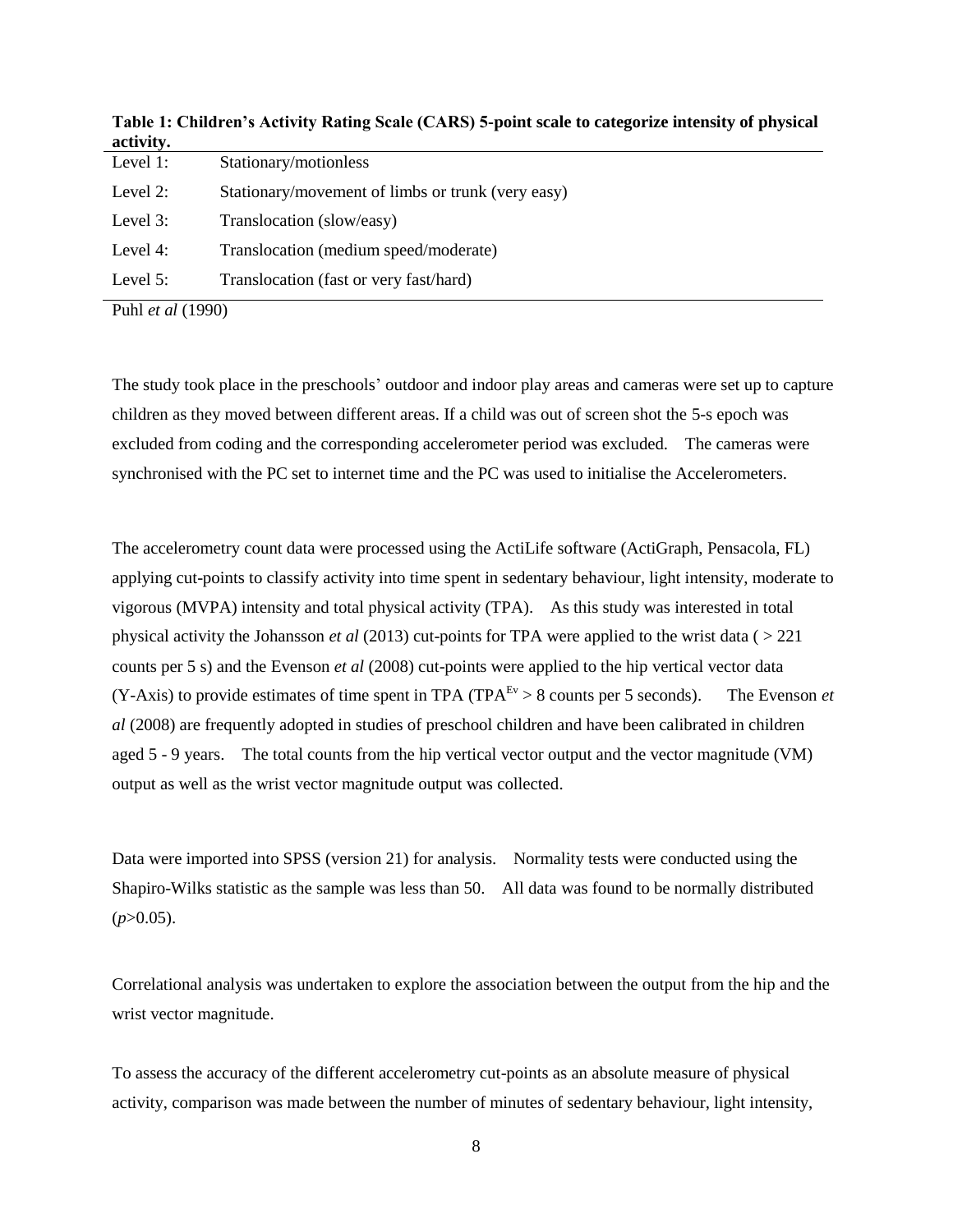| activity. |                                                   |
|-----------|---------------------------------------------------|
| Level 1:  | Stationary/motionless                             |
| Level 2:  | Stationary/movement of limbs or trunk (very easy) |
| Level 3:  | Translocation (slow/easy)                         |
| Level 4:  | Translocation (medium speed/moderate)             |
| Level 5:  | Translocation (fast or very fast/hard)            |
|           |                                                   |

**Table 1: Children's Activity Rating Scale (CARS) 5-point scale to categorize intensity of physical activity.**

Puhl *et al* (1990)

The study took place in the preschools' outdoor and indoor play areas and cameras were set up to capture children as they moved between different areas. If a child was out of screen shot the 5-s epoch was excluded from coding and the corresponding accelerometer period was excluded. The cameras were synchronised with the PC set to internet time and the PC was used to initialise the Accelerometers.

The accelerometry count data were processed using the ActiLife software (ActiGraph, Pensacola, FL) applying cut-points to classify activity into time spent in sedentary behaviour, light intensity, moderate to vigorous (MVPA) intensity and total physical activity (TPA). As this study was interested in total physical activity the Johansson *et al* (2013) cut-points for TPA were applied to the wrist data ( > 221 counts per 5 s) and the Evenson *et al* (2008) cut-points were applied to the hip vertical vector data  $(Y-Axis)$  to provide estimates of time spent in TPA (TPA<sup>Ev</sup> > 8 counts per 5 seconds). The Evenson *et al* (2008) are frequently adopted in studies of preschool children and have been calibrated in children aged 5 - 9 years. The total counts from the hip vertical vector output and the vector magnitude (VM) output as well as the wrist vector magnitude output was collected.

Data were imported into SPSS (version 21) for analysis. Normality tests were conducted using the Shapiro-Wilks statistic as the sample was less than 50. All data was found to be normally distributed  $(p>0.05)$ .

Correlational analysis was undertaken to explore the association between the output from the hip and the wrist vector magnitude.

To assess the accuracy of the different accelerometry cut-points as an absolute measure of physical activity, comparison was made between the number of minutes of sedentary behaviour, light intensity,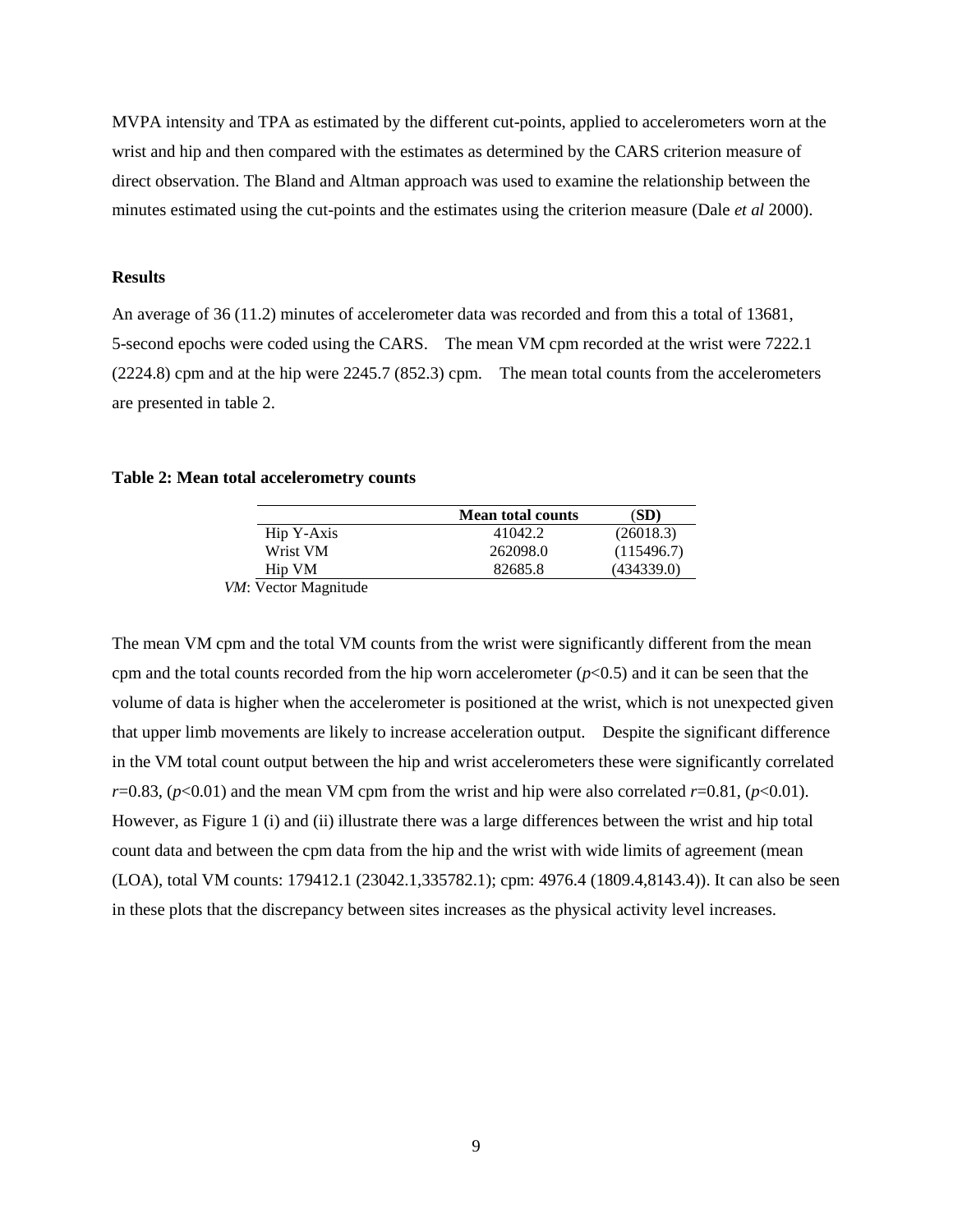MVPA intensity and TPA as estimated by the different cut-points, applied to accelerometers worn at the wrist and hip and then compared with the estimates as determined by the CARS criterion measure of direct observation. The Bland and Altman approach was used to examine the relationship between the minutes estimated using the cut-points and the estimates using the criterion measure (Dale *et al* 2000).

## **Results**

An average of 36 (11.2) minutes of accelerometer data was recorded and from this a total of 13681, 5-second epochs were coded using the CARS. The mean VM cpm recorded at the wrist were 7222.1 (2224.8) cpm and at the hip were 2245.7 (852.3) cpm. The mean total counts from the accelerometers are presented in table 2.

### **Table 2: Mean total accelerometry counts**

|            | <b>Mean total counts</b> | (SD)       |
|------------|--------------------------|------------|
| Hip Y-Axis | 41042.2                  | (26018.3)  |
| Wrist VM   | 262098.0                 | (115496.7) |
| Hip VM     | 82685.8                  | (434339.0) |

*VM*: Vector Magnitude

The mean VM cpm and the total VM counts from the wrist were significantly different from the mean cpm and the total counts recorded from the hip worn accelerometer  $(p<0.5)$  and it can be seen that the volume of data is higher when the accelerometer is positioned at the wrist, which is not unexpected given that upper limb movements are likely to increase acceleration output. Despite the significant difference in the VM total count output between the hip and wrist accelerometers these were significantly correlated  $r=0.83$ , ( $p<0.01$ ) and the mean VM cpm from the wrist and hip were also correlated  $r=0.81$ , ( $p<0.01$ ). However, as Figure 1 (i) and (ii) illustrate there was a large differences between the wrist and hip total count data and between the cpm data from the hip and the wrist with wide limits of agreement (mean (LOA), total VM counts: 179412.1 (23042.1,335782.1); cpm: 4976.4 (1809.4,8143.4)). It can also be seen in these plots that the discrepancy between sites increases as the physical activity level increases.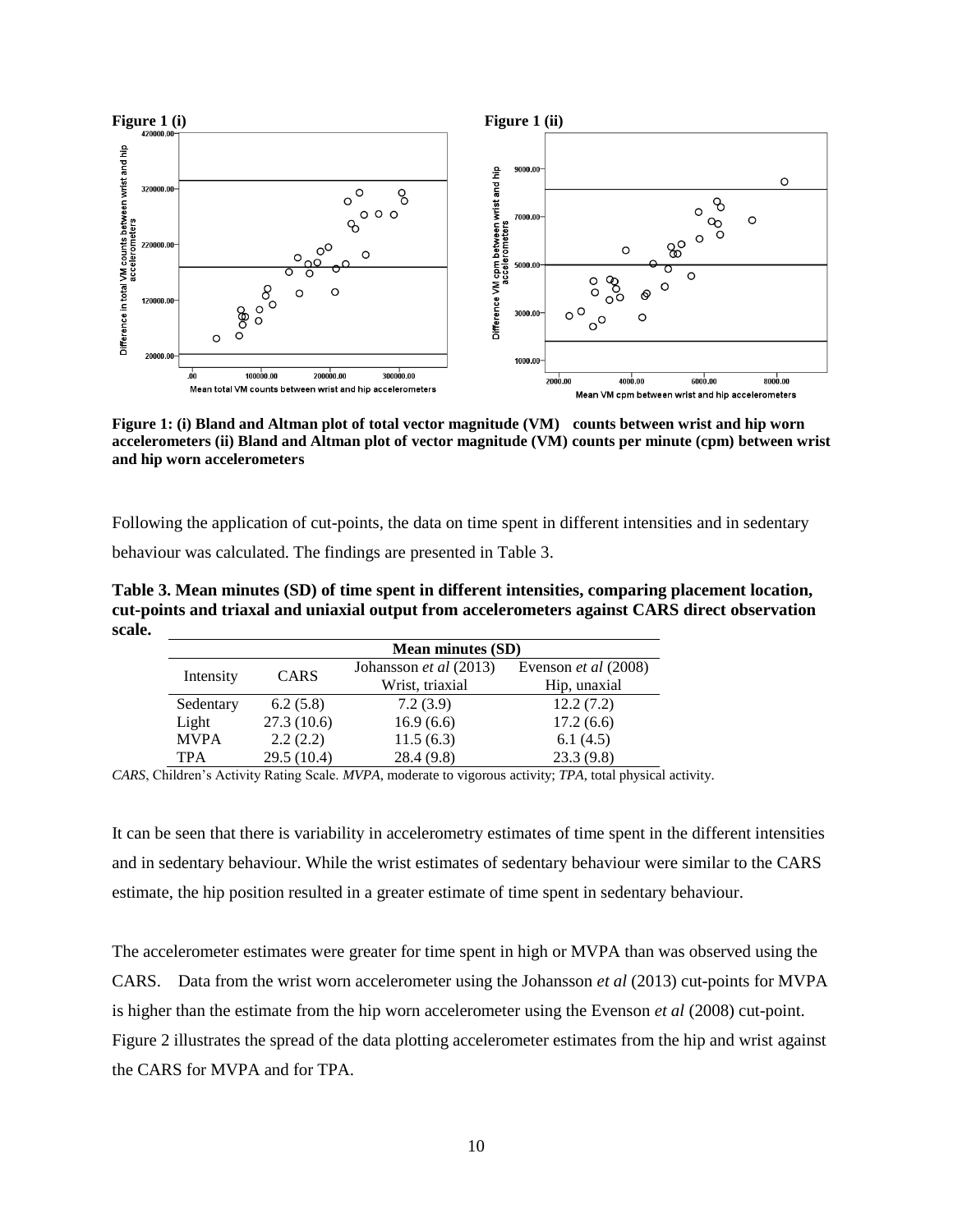

**Figure 1: (i) Bland and Altman plot of total vector magnitude (VM) counts between wrist and hip worn accelerometers (ii) Bland and Altman plot of vector magnitude (VM) counts per minute (cpm) between wrist and hip worn accelerometers**

Following the application of cut-points, the data on time spent in different intensities and in sedentary behaviour was calculated. The findings are presented in Table 3.

**Table 3. Mean minutes (SD) of time spent in different intensities, comparing placement location, cut-points and triaxal and uniaxial output from accelerometers against CARS direct observation scale.**

|             | <b>Mean minutes (SD)</b> |                        |                      |
|-------------|--------------------------|------------------------|----------------------|
|             | <b>CARS</b>              | Johansson et al (2013) | Evenson et al (2008) |
| Intensity   |                          | Wrist, triaxial        | Hip, unaxial         |
| Sedentary   | 6.2(5.8)                 | 7.2(3.9)               | 12.2(7.2)            |
| Light       | 27.3(10.6)               | 16.9(6.6)              | 17.2(6.6)            |
| <b>MVPA</b> | 2.2(2.2)                 | 11.5(6.3)              | 6.1(4.5)             |
| <b>TPA</b>  | 29.5 (10.4)              | 28.4(9.8)              | 23.3(9.8)            |

*CARS*, Children's Activity Rating Scale. *MVPA*, moderate to vigorous activity; *TPA*, total physical activity.

It can be seen that there is variability in accelerometry estimates of time spent in the different intensities and in sedentary behaviour. While the wrist estimates of sedentary behaviour were similar to the CARS estimate, the hip position resulted in a greater estimate of time spent in sedentary behaviour.

The accelerometer estimates were greater for time spent in high or MVPA than was observed using the CARS. Data from the wrist worn accelerometer using the Johansson *et al* (2013) cut-points for MVPA is higher than the estimate from the hip worn accelerometer using the Evenson *et al* (2008) cut-point. Figure 2 illustrates the spread of the data plotting accelerometer estimates from the hip and wrist against the CARS for MVPA and for TPA.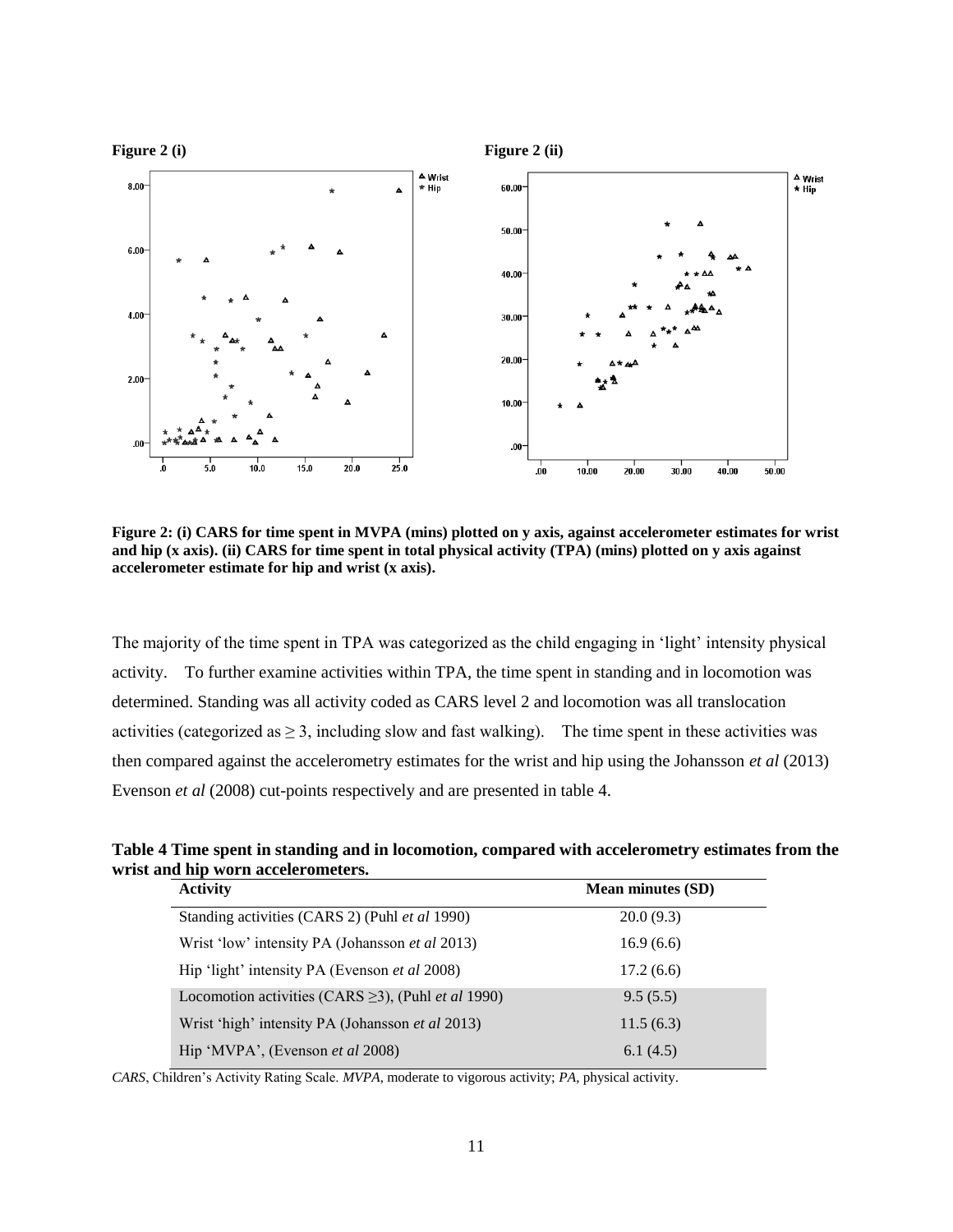

**Figure 2: (i) CARS for time spent in MVPA (mins) plotted on y axis, against accelerometer estimates for wrist and hip (x axis). (ii) CARS for time spent in total physical activity (TPA) (mins) plotted on y axis against accelerometer estimate for hip and wrist (x axis).**

The majority of the time spent in TPA was categorized as the child engaging in 'light' intensity physical activity. To further examine activities within TPA, the time spent in standing and in locomotion was determined. Standing was all activity coded as CARS level 2 and locomotion was all translocation activities (categorized as  $\geq 3$ , including slow and fast walking). The time spent in these activities was then compared against the accelerometry estimates for the wrist and hip using the Johansson *et al* (2013) Evenson *et al* (2008) cut-points respectively and are presented in table 4.

**Table 4 Time spent in standing and in locomotion, compared with accelerometry estimates from the wrist and hip worn accelerometers.**

| <b>Mean minutes (SD)</b> |  |
|--------------------------|--|
| 20.0(9.3)                |  |
| 16.9(6.6)                |  |
| 17.2(6.6)                |  |
| 9.5(5.5)                 |  |
| 11.5(6.3)                |  |
| 6.1(4.5)                 |  |
|                          |  |

*CARS*, Children's Activity Rating Scale. *MVPA*, moderate to vigorous activity; *PA*, physical activity.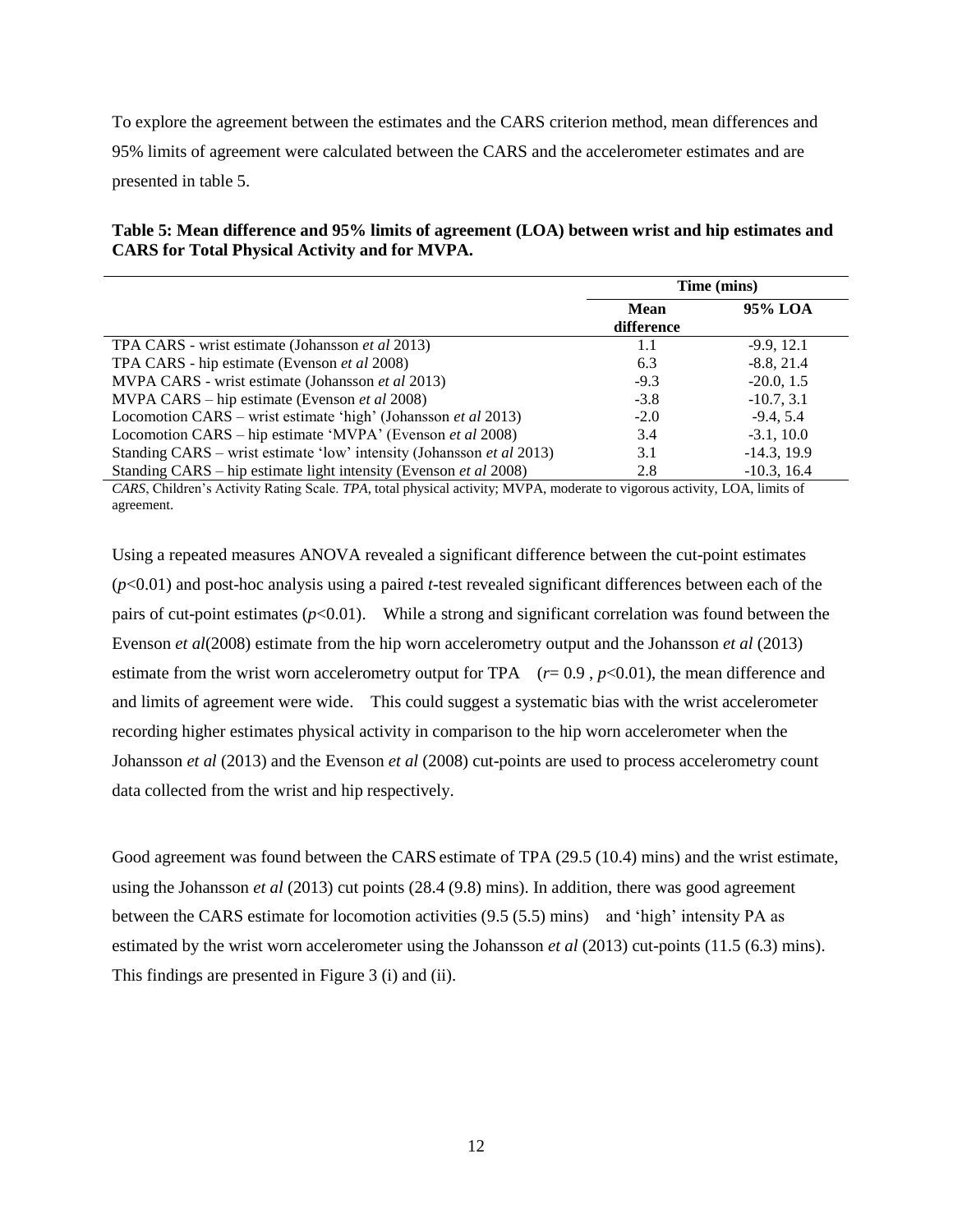To explore the agreement between the estimates and the CARS criterion method, mean differences and 95% limits of agreement were calculated between the CARS and the accelerometer estimates and are presented in table 5.

# **Table 5: Mean difference and 95% limits of agreement (LOA) between wrist and hip estimates and CARS for Total Physical Activity and for MVPA.**

|                                                                       | Time (mins) |               |
|-----------------------------------------------------------------------|-------------|---------------|
|                                                                       | Mean        | 95% LOA       |
|                                                                       | difference  |               |
| TPA CARS - wrist estimate (Johansson <i>et al</i> 2013)               | 1.1         | $-9.9, 12.1$  |
| TPA CARS - hip estimate (Evenson <i>et al</i> 2008)                   | 6.3         | $-8.8, 21.4$  |
| MVPA CARS - wrist estimate (Johansson et al 2013)                     | $-9.3$      | $-20.0, 1.5$  |
| MVPA CARS – hip estimate (Evenson <i>et al</i> 2008)                  | $-3.8$      | $-10.7, 3.1$  |
| Locomotion CARS – wrist estimate 'high' (Johansson et al 2013)        | $-2.0$      | $-9.4, 5.4$   |
| Locomotion CARS – hip estimate 'MVPA' (Evenson et al 2008)            | 3.4         | $-3.1, 10.0$  |
| Standing CARS – wrist estimate 'low' intensity (Johansson et al 2013) | 3.1         | $-14.3, 19.9$ |
| Standing CARS – hip estimate light intensity (Evenson et al 2008)     | 2.8         | $-10.3, 16.4$ |

*CARS*, Children's Activity Rating Scale. *TPA*, total physical activity; MVPA, moderate to vigorous activity, LOA, limits of agreement.

Using a repeated measures ANOVA revealed a significant difference between the cut-point estimates (*p*<0.01) and post-hoc analysis using a paired *t-*test revealed significant differences between each of the pairs of cut-point estimates  $(p<0.01)$ . While a strong and significant correlation was found between the Evenson *et al*(2008) estimate from the hip worn accelerometry output and the Johansson *et al* (2013) estimate from the wrist worn accelerometry output for TPA  $(r= 0.9, p<0.01)$ , the mean difference and and limits of agreement were wide. This could suggest a systematic bias with the wrist accelerometer recording higher estimates physical activity in comparison to the hip worn accelerometer when the Johansson *et al* (2013) and the Evenson *et al* (2008) cut-points are used to process accelerometry count data collected from the wrist and hip respectively.

Good agreement was found between the CARS estimate of TPA (29.5 (10.4) mins) and the wrist estimate, using the Johansson *et al* (2013) cut points (28.4 (9.8) mins). In addition, there was good agreement between the CARS estimate for locomotion activities (9.5 (5.5) mins) and 'high' intensity PA as estimated by the wrist worn accelerometer using the Johansson *et al* (2013) cut-points (11.5 (6.3) mins). This findings are presented in Figure 3 (i) and (ii).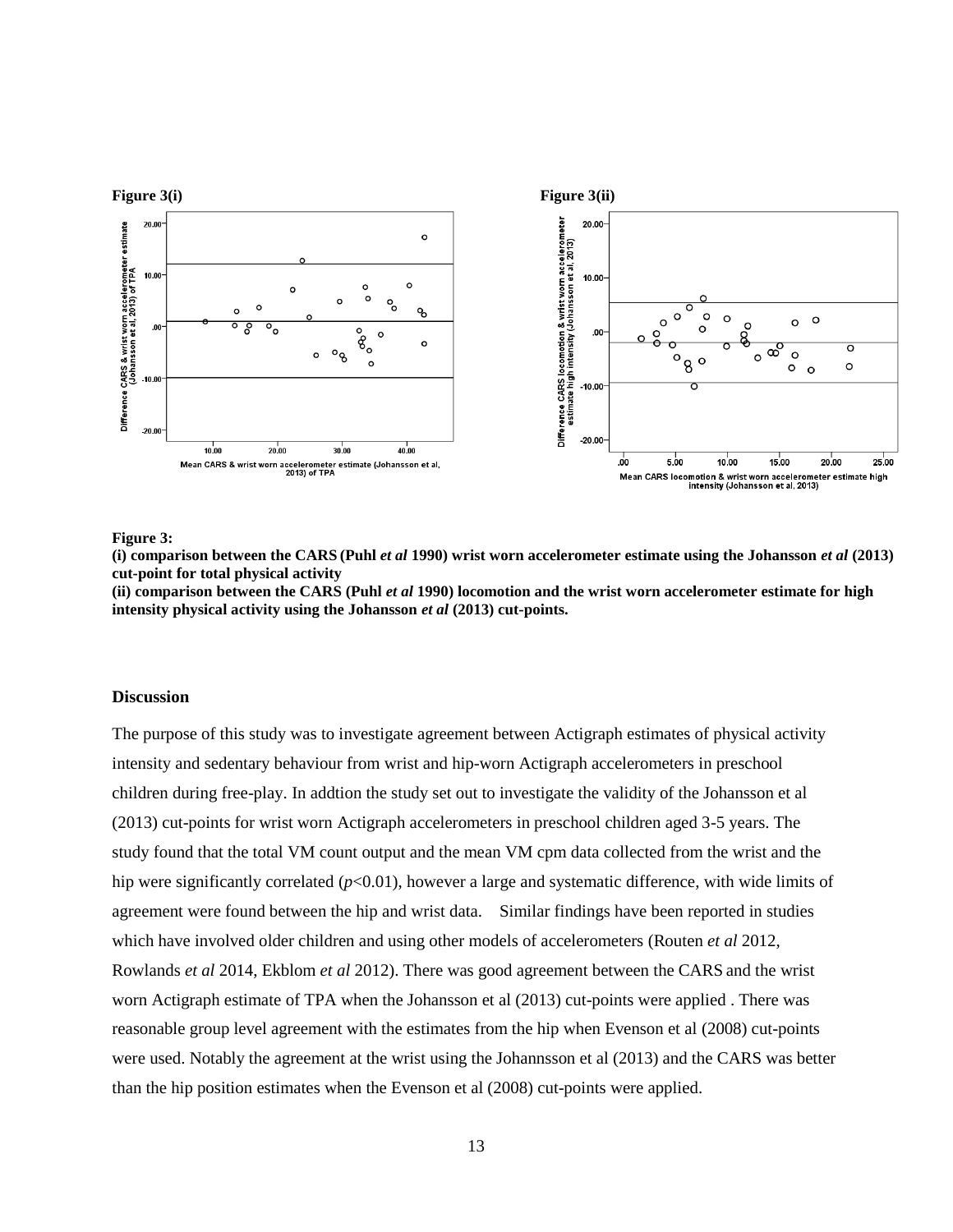

**Figure 3:** 

**(i) comparison between the CARS (Puhl** *et al* **1990) wrist worn accelerometer estimate using the Johansson** *et al* **(2013) cut-point for total physical activity**

**(ii) comparison between the CARS (Puhl** *et al* **1990) locomotion and the wrist worn accelerometer estimate for high intensity physical activity using the Johansson** *et al* **(2013) cut-points.**

## **Discussion**

The purpose of this study was to investigate agreement between Actigraph estimates of physical activity intensity and sedentary behaviour from wrist and hip-worn Actigraph accelerometers in preschool children during free-play. In addtion the study set out to investigate the validity of the Johansson et al (2013) cut-points for wrist worn Actigraph accelerometers in preschool children aged 3-5 years. The study found that the total VM count output and the mean VM cpm data collected from the wrist and the hip were significantly correlated  $(p<0.01)$ , however a large and systematic difference, with wide limits of agreement were found between the hip and wrist data. Similar findings have been reported in studies which have involved older children and using other models of accelerometers (Routen *et al* 2012, Rowlands *et al* 2014, Ekblom *et al* 2012). There was good agreement between the CARS and the wrist worn Actigraph estimate of TPA when the Johansson et al (2013) cut-points were applied . There was reasonable group level agreement with the estimates from the hip when Evenson et al (2008) cut-points were used. Notably the agreement at the wrist using the Johannsson et al (2013) and the CARS was better than the hip position estimates when the Evenson et al (2008) cut-points were applied.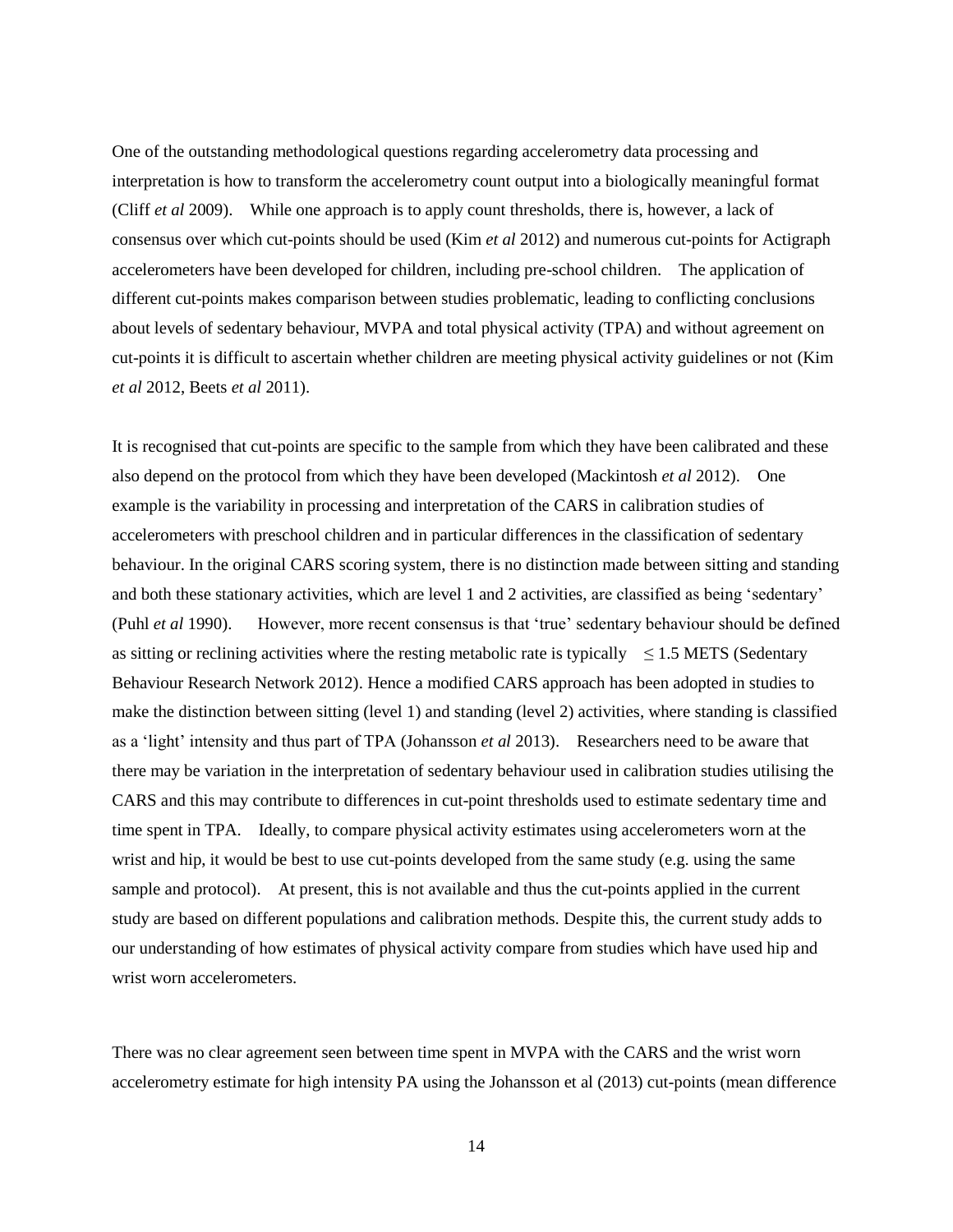One of the outstanding methodological questions regarding accelerometry data processing and interpretation is how to transform the accelerometry count output into a biologically meaningful format (Cliff *et al* 2009). While one approach is to apply count thresholds, there is, however, a lack of consensus over which cut-points should be used (Kim *et al* 2012) and numerous cut-points for Actigraph accelerometers have been developed for children, including pre-school children. The application of different cut-points makes comparison between studies problematic, leading to conflicting conclusions about levels of sedentary behaviour, MVPA and total physical activity (TPA) and without agreement on cut-points it is difficult to ascertain whether children are meeting physical activity guidelines or not (Kim *et al* 2012, Beets *et al* 2011).

It is recognised that cut-points are specific to the sample from which they have been calibrated and these also depend on the protocol from which they have been developed (Mackintosh *et al* 2012). One example is the variability in processing and interpretation of the CARS in calibration studies of accelerometers with preschool children and in particular differences in the classification of sedentary behaviour. In the original CARS scoring system, there is no distinction made between sitting and standing and both these stationary activities, which are level 1 and 2 activities, are classified as being 'sedentary' (Puhl *et al* 1990). However, more recent consensus is that 'true' sedentary behaviour should be defined as sitting or reclining activities where the resting metabolic rate is typically  $\leq$  1.5 METS (Sedentary Behaviour Research Network 2012). Hence a modified CARS approach has been adopted in studies to make the distinction between sitting (level 1) and standing (level 2) activities, where standing is classified as a 'light' intensity and thus part of TPA (Johansson *et al* 2013). Researchers need to be aware that there may be variation in the interpretation of sedentary behaviour used in calibration studies utilising the CARS and this may contribute to differences in cut-point thresholds used to estimate sedentary time and time spent in TPA. Ideally, to compare physical activity estimates using accelerometers worn at the wrist and hip, it would be best to use cut-points developed from the same study (e.g. using the same sample and protocol). At present, this is not available and thus the cut-points applied in the current study are based on different populations and calibration methods. Despite this, the current study adds to our understanding of how estimates of physical activity compare from studies which have used hip and wrist worn accelerometers.

There was no clear agreement seen between time spent in MVPA with the CARS and the wrist worn accelerometry estimate for high intensity PA using the Johansson et al (2013) cut-points (mean difference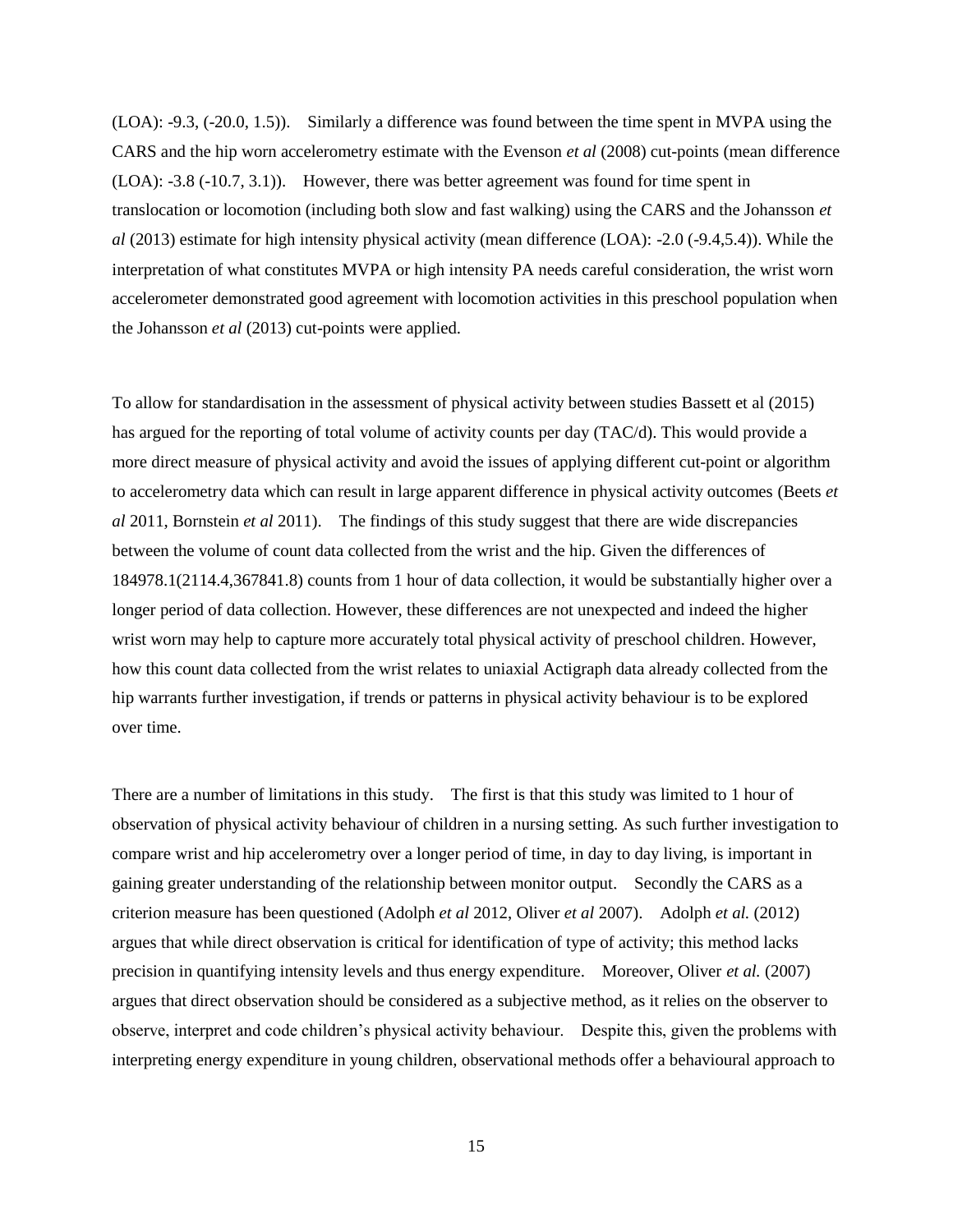(LOA): -9.3, (-20.0, 1.5)). Similarly a difference was found between the time spent in MVPA using the CARS and the hip worn accelerometry estimate with the Evenson *et al* (2008) cut-points (mean difference (LOA): -3.8 (-10.7, 3.1)). However, there was better agreement was found for time spent in translocation or locomotion (including both slow and fast walking) using the CARS and the Johansson *et al* (2013) estimate for high intensity physical activity (mean difference (LOA): -2.0 (-9.4,5.4)). While the interpretation of what constitutes MVPA or high intensity PA needs careful consideration, the wrist worn accelerometer demonstrated good agreement with locomotion activities in this preschool population when the Johansson *et al* (2013) cut-points were applied.

To allow for standardisation in the assessment of physical activity between studies Bassett et al (2015) has argued for the reporting of total volume of activity counts per day (TAC/d). This would provide a more direct measure of physical activity and avoid the issues of applying different cut-point or algorithm to accelerometry data which can result in large apparent difference in physical activity outcomes (Beets *et al* 2011, Bornstein *et al* 2011). The findings of this study suggest that there are wide discrepancies between the volume of count data collected from the wrist and the hip. Given the differences of 184978.1(2114.4,367841.8) counts from 1 hour of data collection, it would be substantially higher over a longer period of data collection. However, these differences are not unexpected and indeed the higher wrist worn may help to capture more accurately total physical activity of preschool children. However, how this count data collected from the wrist relates to uniaxial Actigraph data already collected from the hip warrants further investigation, if trends or patterns in physical activity behaviour is to be explored over time.

There are a number of limitations in this study. The first is that this study was limited to 1 hour of observation of physical activity behaviour of children in a nursing setting. As such further investigation to compare wrist and hip accelerometry over a longer period of time, in day to day living, is important in gaining greater understanding of the relationship between monitor output. Secondly the CARS as a criterion measure has been questioned (Adolph *et al* 2012, Oliver *et al* 2007). Adolph *et al.* (2012) argues that while direct observation is critical for identification of type of activity; this method lacks precision in quantifying intensity levels and thus energy expenditure. Moreover, Oliver *et al.* (2007) argues that direct observation should be considered as a subjective method, as it relies on the observer to observe, interpret and code children's physical activity behaviour. Despite this, given the problems with interpreting energy expenditure in young children, observational methods offer a behavioural approach to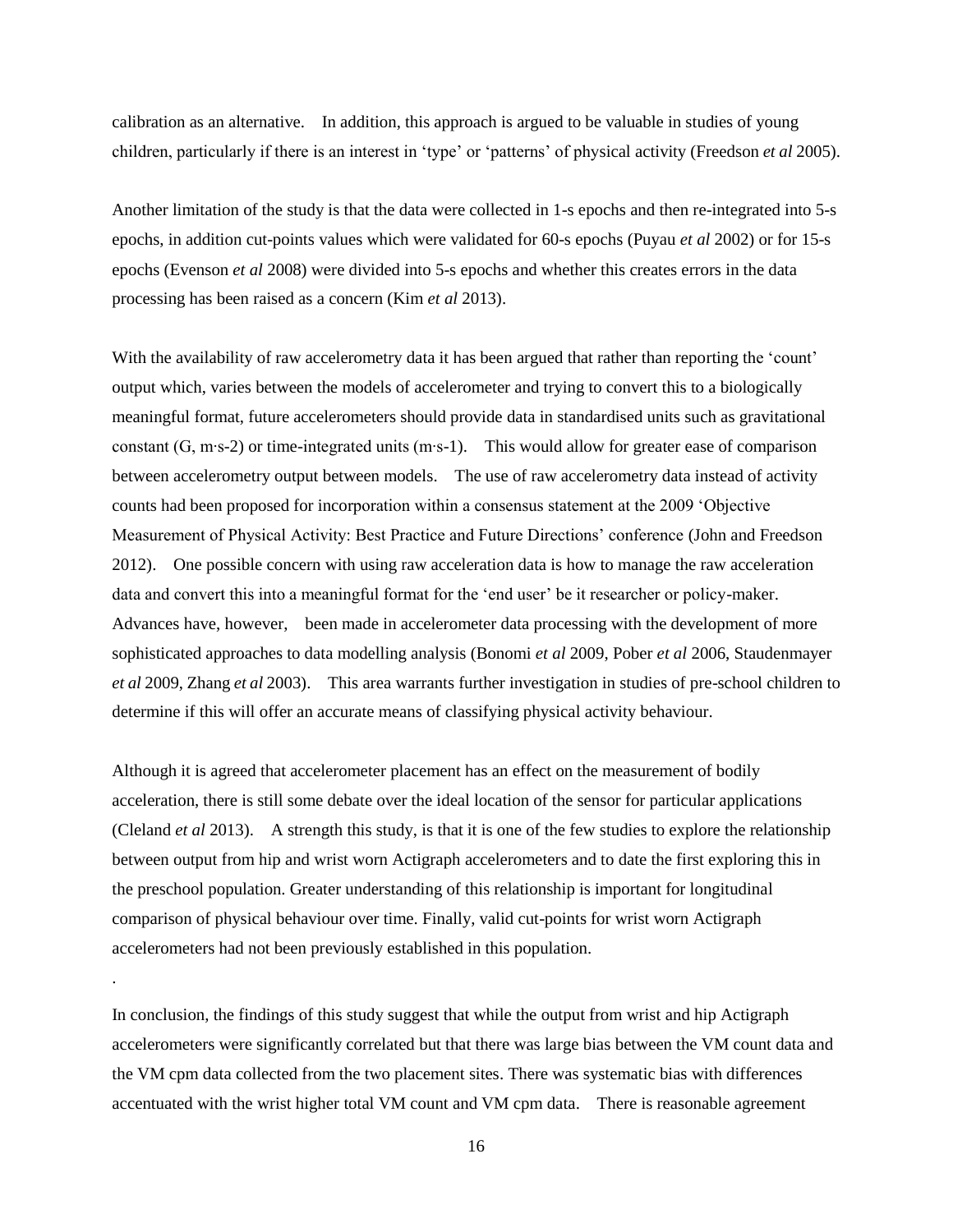calibration as an alternative. In addition, this approach is argued to be valuable in studies of young children, particularly if there is an interest in 'type' or 'patterns' of physical activity (Freedson *et al* 2005).

Another limitation of the study is that the data were collected in 1-s epochs and then re-integrated into 5-s epochs, in addition cut-points values which were validated for 60-s epochs (Puyau *et al* 2002) or for 15-s epochs (Evenson *et al* 2008) were divided into 5-s epochs and whether this creates errors in the data processing has been raised as a concern (Kim *et al* 2013).

With the availability of raw accelerometry data it has been argued that rather than reporting the 'count' output which, varies between the models of accelerometer and trying to convert this to a biologically meaningful format, future accelerometers should provide data in standardised units such as gravitational constant (G, m∙s-2) or time-integrated units (m∙s-1). This would allow for greater ease of comparison between accelerometry output between models. The use of raw accelerometry data instead of activity counts had been proposed for incorporation within a consensus statement at the 2009 'Objective Measurement of Physical Activity: Best Practice and Future Directions' conference (John and Freedson 2012). One possible concern with using raw acceleration data is how to manage the raw acceleration data and convert this into a meaningful format for the 'end user' be it researcher or policy-maker. Advances have, however, been made in accelerometer data processing with the development of more sophisticated approaches to data modelling analysis (Bonomi *et al* 2009, Pober *et al* 2006, Staudenmayer *et al* 2009, Zhang *et al* 2003). This area warrants further investigation in studies of pre-school children to determine if this will offer an accurate means of classifying physical activity behaviour.

Although it is agreed that accelerometer placement has an effect on the measurement of bodily acceleration, there is still some debate over the ideal location of the sensor for particular applications (Cleland *et al* 2013). A strength this study, is that it is one of the few studies to explore the relationship between output from hip and wrist worn Actigraph accelerometers and to date the first exploring this in the preschool population. Greater understanding of this relationship is important for longitudinal comparison of physical behaviour over time. Finally, valid cut-points for wrist worn Actigraph accelerometers had not been previously established in this population.

In conclusion, the findings of this study suggest that while the output from wrist and hip Actigraph accelerometers were significantly correlated but that there was large bias between the VM count data and the VM cpm data collected from the two placement sites. There was systematic bias with differences accentuated with the wrist higher total VM count and VM cpm data. There is reasonable agreement

.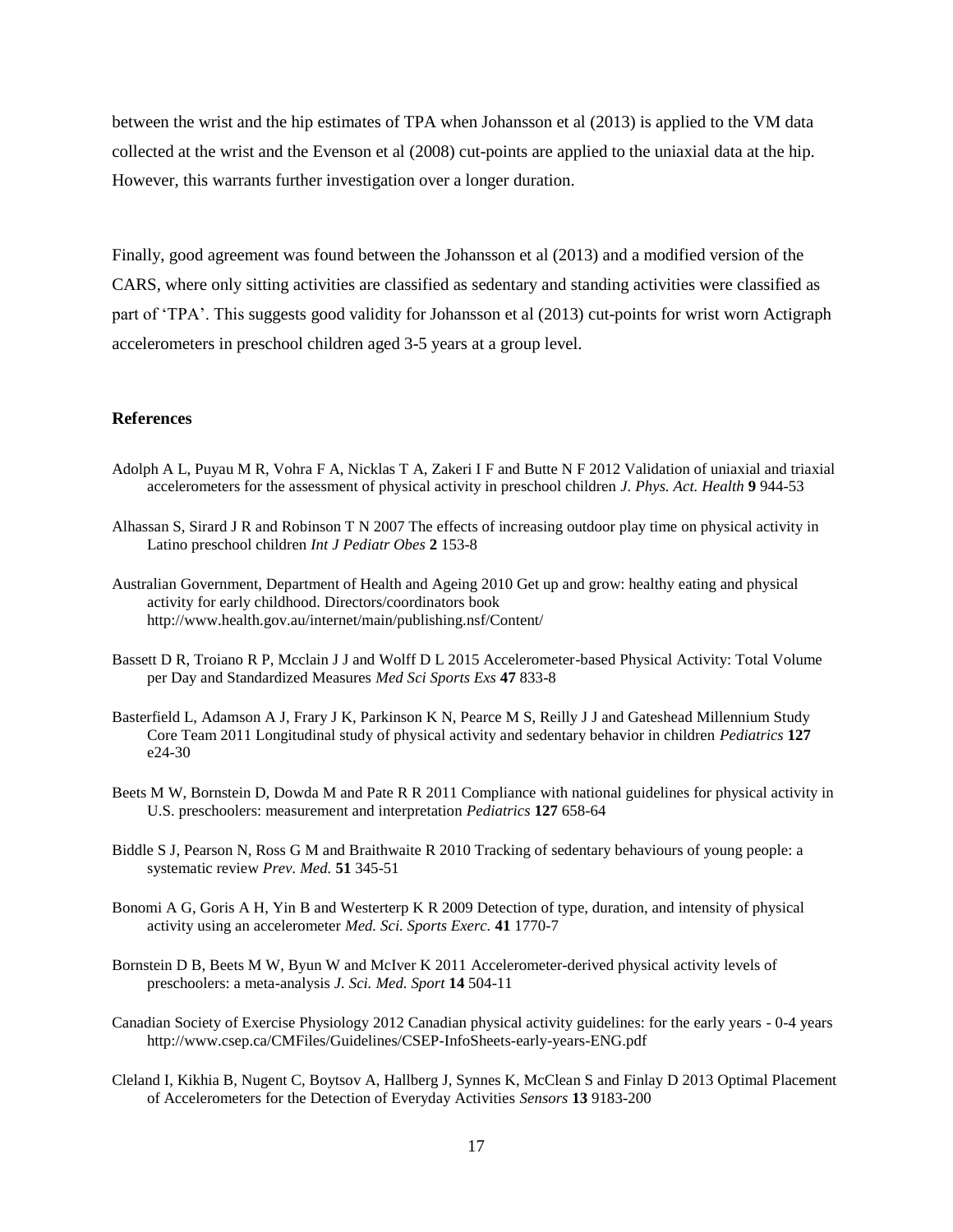between the wrist and the hip estimates of TPA when Johansson et al (2013) is applied to the VM data collected at the wrist and the Evenson et al (2008) cut-points are applied to the uniaxial data at the hip. However, this warrants further investigation over a longer duration.

Finally, good agreement was found between the Johansson et al (2013) and a modified version of the CARS, where only sitting activities are classified as sedentary and standing activities were classified as part of 'TPA'. This suggests good validity for Johansson et al (2013) cut-points for wrist worn Actigraph accelerometers in preschool children aged 3-5 years at a group level.

## **References**

- Adolph A L, Puyau M R, Vohra F A, Nicklas T A, Zakeri I F and Butte N F 2012 Validation of uniaxial and triaxial accelerometers for the assessment of physical activity in preschool children *J. Phys. Act. Health* **9** 944-53
- Alhassan S, Sirard J R and Robinson T N 2007 The effects of increasing outdoor play time on physical activity in Latino preschool children *Int J Pediatr Obes* **2** 153-8
- Australian Government, Department of Health and Ageing 2010 Get up and grow: healthy eating and physical activity for early childhood. Directors/coordinators book http://www.health.gov.au/internet/main/publishing.nsf/Content/
- Bassett D R, Troiano R P, Mcclain J J and Wolff D L 2015 Accelerometer-based Physical Activity: Total Volume per Day and Standardized Measures *Med Sci Sports Exs* **47** 833-8
- Basterfield L, Adamson A J, Frary J K, Parkinson K N, Pearce M S, Reilly J J and Gateshead Millennium Study Core Team 2011 Longitudinal study of physical activity and sedentary behavior in children *Pediatrics* **127** e24-30
- Beets M W, Bornstein D, Dowda M and Pate R R 2011 Compliance with national guidelines for physical activity in U.S. preschoolers: measurement and interpretation *Pediatrics* **127** 658-64
- Biddle S J, Pearson N, Ross G M and Braithwaite R 2010 Tracking of sedentary behaviours of young people: a systematic review *Prev. Med.* **51** 345-51
- Bonomi A G, Goris A H, Yin B and Westerterp K R 2009 Detection of type, duration, and intensity of physical activity using an accelerometer *Med. Sci. Sports Exerc.* **41** 1770-7
- Bornstein D B, Beets M W, Byun W and McIver K 2011 Accelerometer-derived physical activity levels of preschoolers: a meta-analysis *J. Sci. Med. Sport* **14** 504-11
- Canadian Society of Exercise Physiology 2012 Canadian physical activity guidelines: for the early years 0-4 years http://www.csep.ca/CMFiles/Guidelines/CSEP-InfoSheets-early-years-ENG.pdf
- Cleland I, Kikhia B, Nugent C, Boytsov A, Hallberg J, Synnes K, McClean S and Finlay D 2013 Optimal Placement of Accelerometers for the Detection of Everyday Activities *Sensors* **13** 9183-200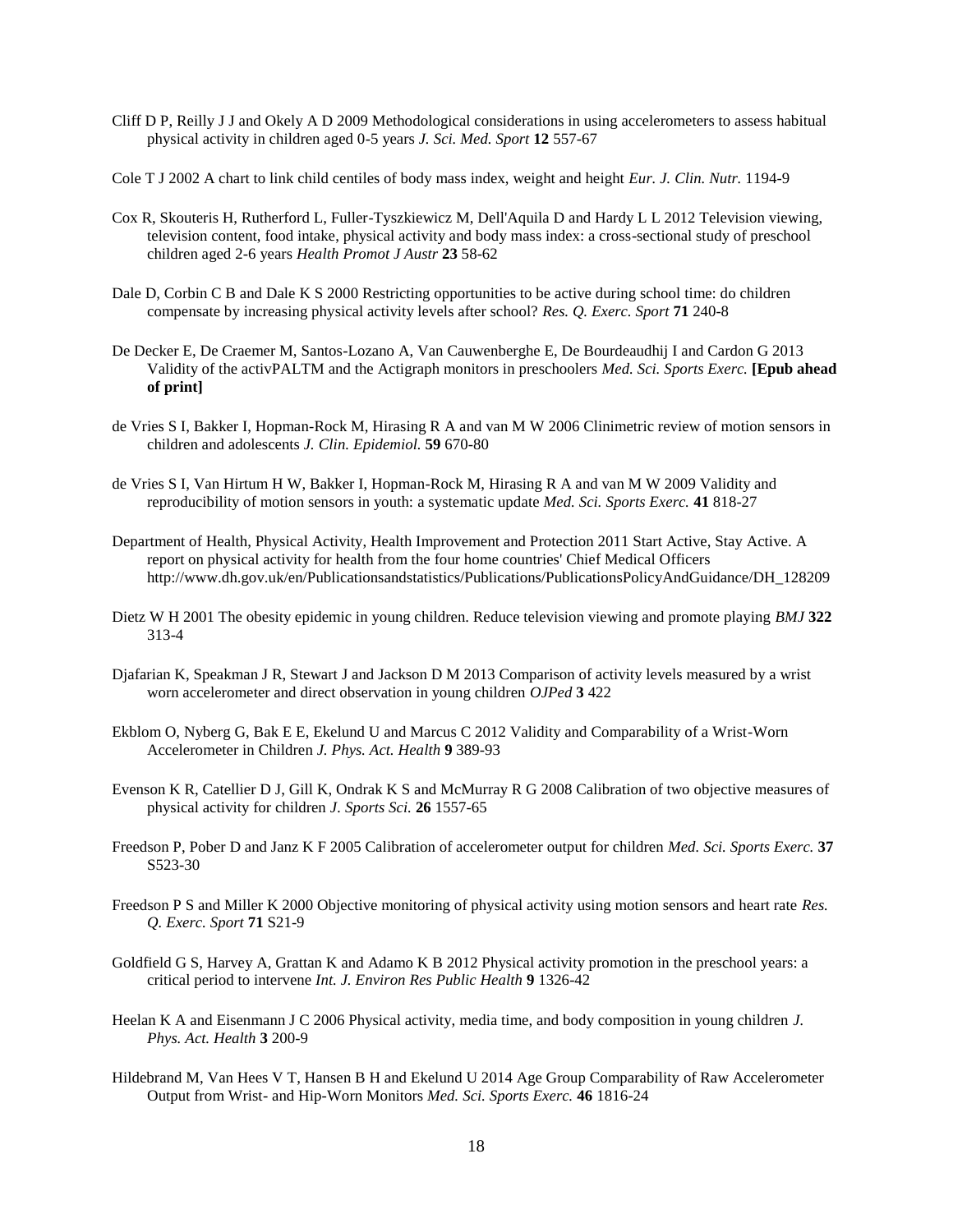- Cliff D P, Reilly J J and Okely A D 2009 Methodological considerations in using accelerometers to assess habitual physical activity in children aged 0-5 years *J. Sci. Med. Sport* **12** 557-67
- Cole T J 2002 A chart to link child centiles of body mass index, weight and height *Eur. J. Clin. Nutr.* 1194-9
- Cox R, Skouteris H, Rutherford L, Fuller-Tyszkiewicz M, Dell'Aquila D and Hardy L L 2012 Television viewing, television content, food intake, physical activity and body mass index: a cross-sectional study of preschool children aged 2-6 years *Health Promot J Austr* **23** 58-62
- Dale D, Corbin C B and Dale K S 2000 Restricting opportunities to be active during school time: do children compensate by increasing physical activity levels after school? *Res. Q. Exerc. Sport* **71** 240-8
- De Decker E, De Craemer M, Santos-Lozano A, Van Cauwenberghe E, De Bourdeaudhij I and Cardon G 2013 Validity of the activPALTM and the Actigraph monitors in preschoolers *Med. Sci. Sports Exerc.* **[Epub ahead of print]**
- de Vries S I, Bakker I, Hopman-Rock M, Hirasing R A and van M W 2006 Clinimetric review of motion sensors in children and adolescents *J. Clin. Epidemiol.* **59** 670-80
- de Vries S I, Van Hirtum H W, Bakker I, Hopman-Rock M, Hirasing R A and van M W 2009 Validity and reproducibility of motion sensors in youth: a systematic update *Med. Sci. Sports Exerc.* **41** 818-27
- Department of Health, Physical Activity, Health Improvement and Protection 2011 Start Active, Stay Active. A report on physical activity for health from the four home countries' Chief Medical Officers http://www.dh.gov.uk/en/Publicationsandstatistics/Publications/PublicationsPolicyAndGuidance/DH\_128209
- Dietz W H 2001 The obesity epidemic in young children. Reduce television viewing and promote playing *BMJ* **322** 313-4
- Djafarian K, Speakman J R, Stewart J and Jackson D M 2013 Comparison of activity levels measured by a wrist worn accelerometer and direct observation in young children *OJPed* **3** 422
- Ekblom O, Nyberg G, Bak E E, Ekelund U and Marcus C 2012 Validity and Comparability of a Wrist-Worn Accelerometer in Children *J. Phys. Act. Health* **9** 389-93
- Evenson K R, Catellier D J, Gill K, Ondrak K S and McMurray R G 2008 Calibration of two objective measures of physical activity for children *J. Sports Sci.* **26** 1557-65
- Freedson P, Pober D and Janz K F 2005 Calibration of accelerometer output for children *Med. Sci. Sports Exerc.* **37** S523-30
- Freedson P S and Miller K 2000 Objective monitoring of physical activity using motion sensors and heart rate *Res. Q. Exerc. Sport* **71** S21-9
- Goldfield G S, Harvey A, Grattan K and Adamo K B 2012 Physical activity promotion in the preschool years: a critical period to intervene *Int. J. Environ Res Public Health* **9** 1326-42
- Heelan K A and Eisenmann J C 2006 Physical activity, media time, and body composition in young children *J. Phys. Act. Health* **3** 200-9
- Hildebrand M, Van Hees V T, Hansen B H and Ekelund U 2014 Age Group Comparability of Raw Accelerometer Output from Wrist- and Hip-Worn Monitors *Med. Sci. Sports Exerc.* **46** 1816-24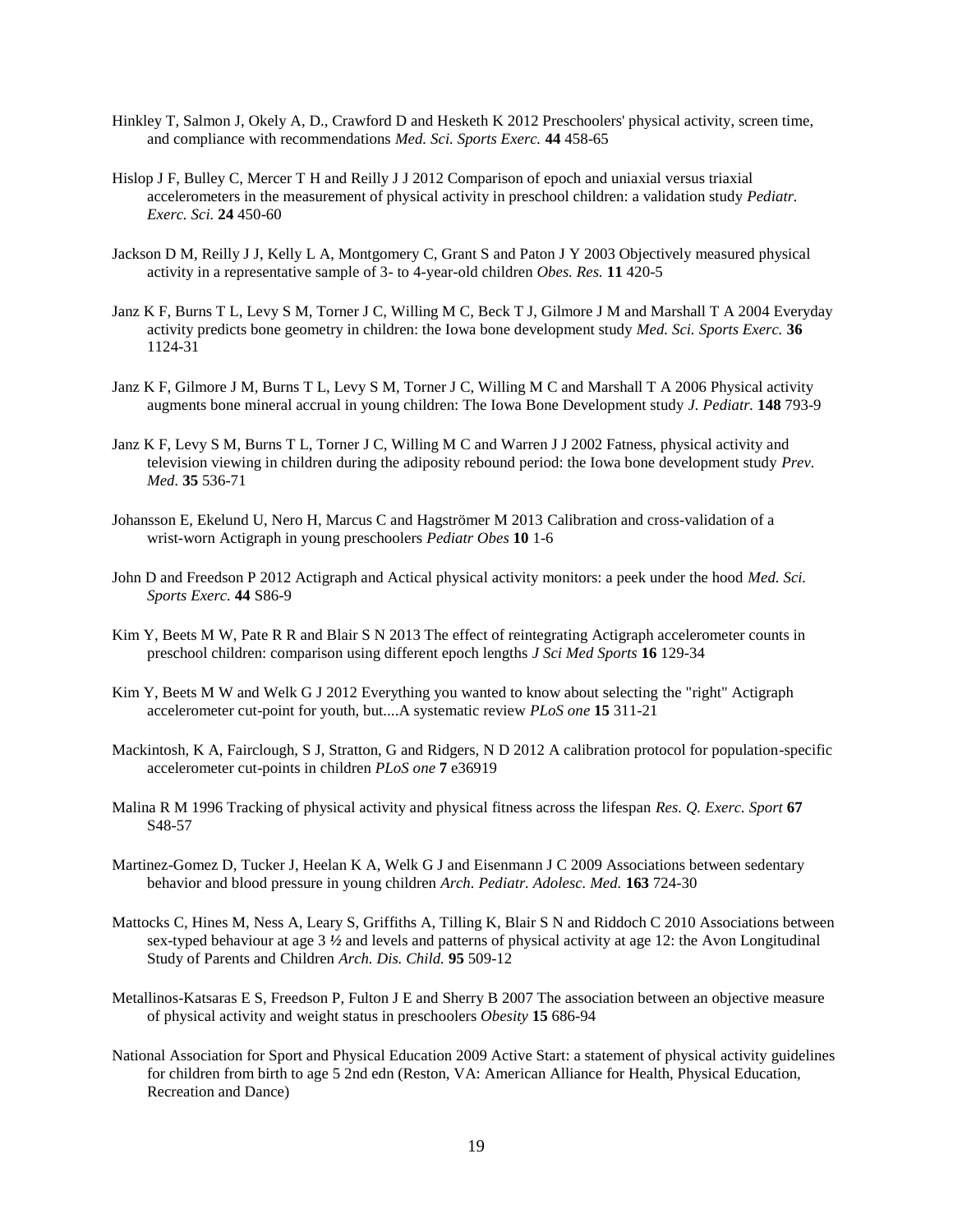- Hinkley T, Salmon J, Okely A, D., Crawford D and Hesketh K 2012 Preschoolers' physical activity, screen time, and compliance with recommendations *Med. Sci. Sports Exerc.* **44** 458-65
- Hislop J F, Bulley C, Mercer T H and Reilly J J 2012 Comparison of epoch and uniaxial versus triaxial accelerometers in the measurement of physical activity in preschool children: a validation study *Pediatr. Exerc. Sci.* **24** 450-60
- Jackson D M, Reilly J J, Kelly L A, Montgomery C, Grant S and Paton J Y 2003 Objectively measured physical activity in a representative sample of 3- to 4-year-old children *Obes. Res.* **11** 420-5
- Janz K F, Burns T L, Levy S M, Torner J C, Willing M C, Beck T J, Gilmore J M and Marshall T A 2004 Everyday activity predicts bone geometry in children: the Iowa bone development study *Med. Sci. Sports Exerc.* **36** 1124-31
- Janz K F, Gilmore J M, Burns T L, Levy S M, Torner J C, Willing M C and Marshall T A 2006 Physical activity augments bone mineral accrual in young children: The Iowa Bone Development study *J. Pediatr.* **148** 793-9
- Janz K F, Levy S M, Burns T L, Torner J C, Willing M C and Warren J J 2002 Fatness, physical activity and television viewing in children during the adiposity rebound period: the Iowa bone development study *Prev. Med.* **35** 536-71
- Johansson E, Ekelund U, Nero H, Marcus C and Hagströmer M 2013 Calibration and cross-validation of a wrist-worn Actigraph in young preschoolers *Pediatr Obes* **10** 1-6
- John D and Freedson P 2012 Actigraph and Actical physical activity monitors: a peek under the hood *Med. Sci. Sports Exerc.* **44** S86-9
- Kim Y, Beets M W, Pate R R and Blair S N 2013 The effect of reintegrating Actigraph accelerometer counts in preschool children: comparison using different epoch lengths *J Sci Med Sports* **16** 129-34
- Kim Y, Beets M W and Welk G J 2012 Everything you wanted to know about selecting the "right" Actigraph accelerometer cut-point for youth, but....A systematic review *PLoS one* **15** 311-21
- Mackintosh, K A, Fairclough, S J, Stratton, G and Ridgers, N D 2012 A calibration protocol for population-specific accelerometer cut-points in children *PLoS one* **7** e36919
- Malina R M 1996 Tracking of physical activity and physical fitness across the lifespan *Res. Q. Exerc. Sport* **67** S48-57
- Martinez-Gomez D, Tucker J, Heelan K A, Welk G J and Eisenmann J C 2009 Associations between sedentary behavior and blood pressure in young children *Arch. Pediatr. Adolesc. Med.* **163** 724-30
- Mattocks C, Hines M, Ness A, Leary S, Griffiths A, Tilling K, Blair S N and Riddoch C 2010 Associations between sex-typed behaviour at age 3 *½* and levels and patterns of physical activity at age 12: the Avon Longitudinal Study of Parents and Children *Arch. Dis. Child.* **95** 509-12
- Metallinos-Katsaras E S, Freedson P, Fulton J E and Sherry B 2007 The association between an objective measure of physical activity and weight status in preschoolers *Obesity* **15** 686-94
- National Association for Sport and Physical Education 2009 Active Start: a statement of physical activity guidelines for children from birth to age 5 2nd edn (Reston, VA: American Alliance for Health, Physical Education, Recreation and Dance)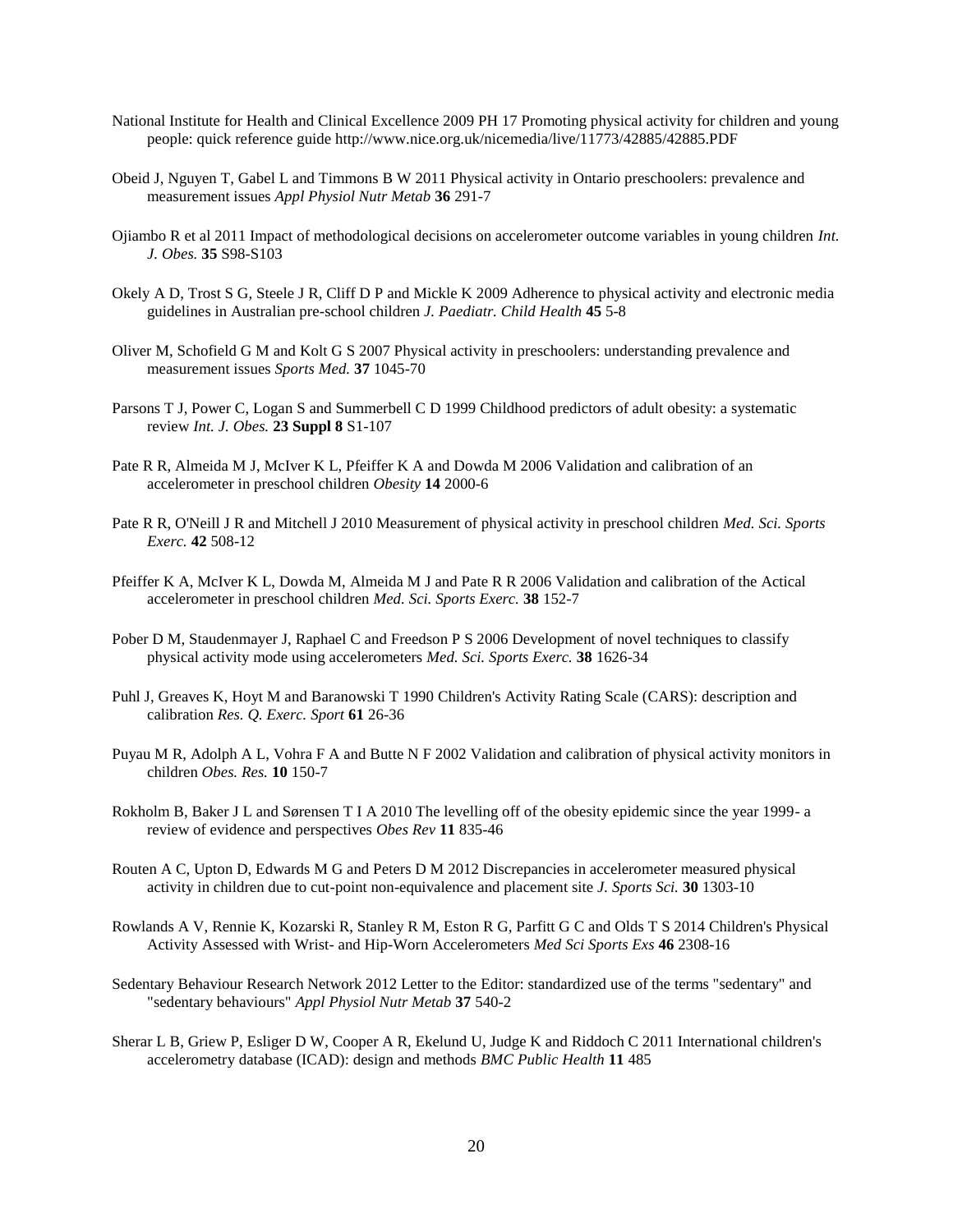- National Institute for Health and Clinical Excellence 2009 PH 17 Promoting physical activity for children and young people: quick reference guide http://www.nice.org.uk/nicemedia/live/11773/42885/42885.PDF
- Obeid J, Nguyen T, Gabel L and Timmons B W 2011 Physical activity in Ontario preschoolers: prevalence and measurement issues *Appl Physiol Nutr Metab* **36** 291-7
- Ojiambo R et al 2011 Impact of methodological decisions on accelerometer outcome variables in young children *Int. J. Obes.* **35** S98-S103
- Okely A D, Trost S G, Steele J R, Cliff D P and Mickle K 2009 Adherence to physical activity and electronic media guidelines in Australian pre-school children *J. Paediatr. Child Health* **45** 5-8
- Oliver M, Schofield G M and Kolt G S 2007 Physical activity in preschoolers: understanding prevalence and measurement issues *Sports Med.* **37** 1045-70
- Parsons T J, Power C, Logan S and Summerbell C D 1999 Childhood predictors of adult obesity: a systematic review *Int. J. Obes.* **23 Suppl 8** S1-107
- Pate R R, Almeida M J, McIver K L, Pfeiffer K A and Dowda M 2006 Validation and calibration of an accelerometer in preschool children *Obesity* **14** 2000-6
- Pate R R, O'Neill J R and Mitchell J 2010 Measurement of physical activity in preschool children *Med. Sci. Sports Exerc.* **42** 508-12
- Pfeiffer K A, McIver K L, Dowda M, Almeida M J and Pate R R 2006 Validation and calibration of the Actical accelerometer in preschool children *Med. Sci. Sports Exerc.* **38** 152-7
- Pober D M, Staudenmayer J, Raphael C and Freedson P S 2006 Development of novel techniques to classify physical activity mode using accelerometers *Med. Sci. Sports Exerc.* **38** 1626-34
- Puhl J, Greaves K, Hoyt M and Baranowski T 1990 Children's Activity Rating Scale (CARS): description and calibration *Res. Q. Exerc. Sport* **61** 26-36
- Puyau M R, Adolph A L, Vohra F A and Butte N F 2002 Validation and calibration of physical activity monitors in children *Obes. Res.* **10** 150-7
- Rokholm B, Baker J L and Sørensen T I A 2010 The levelling off of the obesity epidemic since the year 1999- a review of evidence and perspectives *Obes Rev* **11** 835-46
- Routen A C, Upton D, Edwards M G and Peters D M 2012 Discrepancies in accelerometer measured physical activity in children due to cut-point non-equivalence and placement site *J. Sports Sci.* **30** 1303-10
- Rowlands A V, Rennie K, Kozarski R, Stanley R M, Eston R G, Parfitt G C and Olds T S 2014 Children's Physical Activity Assessed with Wrist- and Hip-Worn Accelerometers *Med Sci Sports Exs* **46** 2308-16
- Sedentary Behaviour Research Network 2012 Letter to the Editor: standardized use of the terms "sedentary" and "sedentary behaviours" *Appl Physiol Nutr Metab* **37** 540-2
- Sherar L B, Griew P, Esliger D W, Cooper A R, Ekelund U, Judge K and Riddoch C 2011 International children's accelerometry database (ICAD): design and methods *BMC Public Health* **11** 485